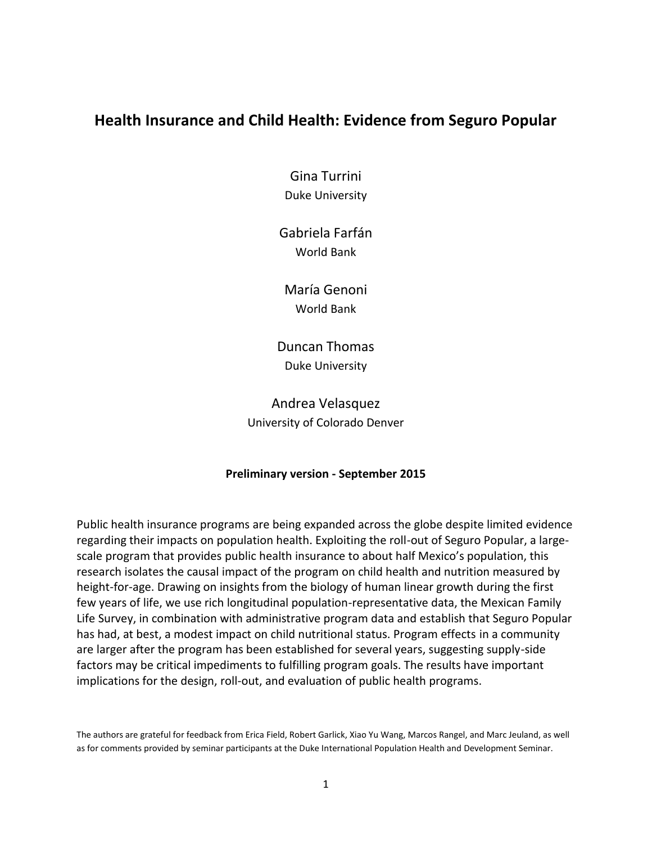# **Health Insurance and Child Health: Evidence from Seguro Popular**

Gina Turrini Duke University

Gabriela Farfán World Bank

María Genoni World Bank

Duncan Thomas Duke University

Andrea Velasquez University of Colorado Denver

# **Preliminary version - September 2015**

Public health insurance programs are being expanded across the globe despite limited evidence regarding their impacts on population health. Exploiting the roll-out of Seguro Popular, a largescale program that provides public health insurance to about half Mexico's population, this research isolates the causal impact of the program on child health and nutrition measured by height-for-age. Drawing on insights from the biology of human linear growth during the first few years of life, we use rich longitudinal population-representative data, the Mexican Family Life Survey, in combination with administrative program data and establish that Seguro Popular has had, at best, a modest impact on child nutritional status. Program effects in a community are larger after the program has been established for several years, suggesting supply-side factors may be critical impediments to fulfilling program goals. The results have important implications for the design, roll-out, and evaluation of public health programs.

The authors are grateful for feedback from Erica Field, Robert Garlick, Xiao Yu Wang, Marcos Rangel, and Marc Jeuland, as well as for comments provided by seminar participants at the Duke International Population Health and Development Seminar.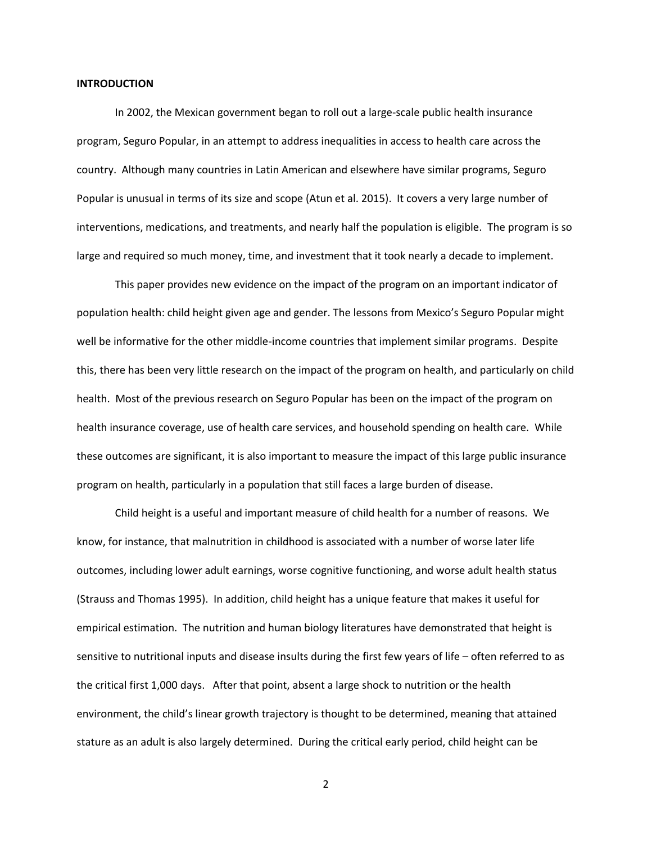#### **INTRODUCTION**

In 2002, the Mexican government began to roll out a large-scale public health insurance program, Seguro Popular, in an attempt to address inequalities in access to health care across the country. Although many countries in Latin American and elsewhere have similar programs, Seguro Popular is unusual in terms of its size and scope (Atun et al. 2015). It covers a very large number of interventions, medications, and treatments, and nearly half the population is eligible. The program is so large and required so much money, time, and investment that it took nearly a decade to implement.

This paper provides new evidence on the impact of the program on an important indicator of population health: child height given age and gender. The lessons from Mexico's Seguro Popular might well be informative for the other middle-income countries that implement similar programs. Despite this, there has been very little research on the impact of the program on health, and particularly on child health. Most of the previous research on Seguro Popular has been on the impact of the program on health insurance coverage, use of health care services, and household spending on health care. While these outcomes are significant, it is also important to measure the impact of this large public insurance program on health, particularly in a population that still faces a large burden of disease.

Child height is a useful and important measure of child health for a number of reasons. We know, for instance, that malnutrition in childhood is associated with a number of worse later life outcomes, including lower adult earnings, worse cognitive functioning, and worse adult health status (Strauss and Thomas 1995). In addition, child height has a unique feature that makes it useful for empirical estimation. The nutrition and human biology literatures have demonstrated that height is sensitive to nutritional inputs and disease insults during the first few years of life – often referred to as the critical first 1,000 days. After that point, absent a large shock to nutrition or the health environment, the child's linear growth trajectory is thought to be determined, meaning that attained stature as an adult is also largely determined. During the critical early period, child height can be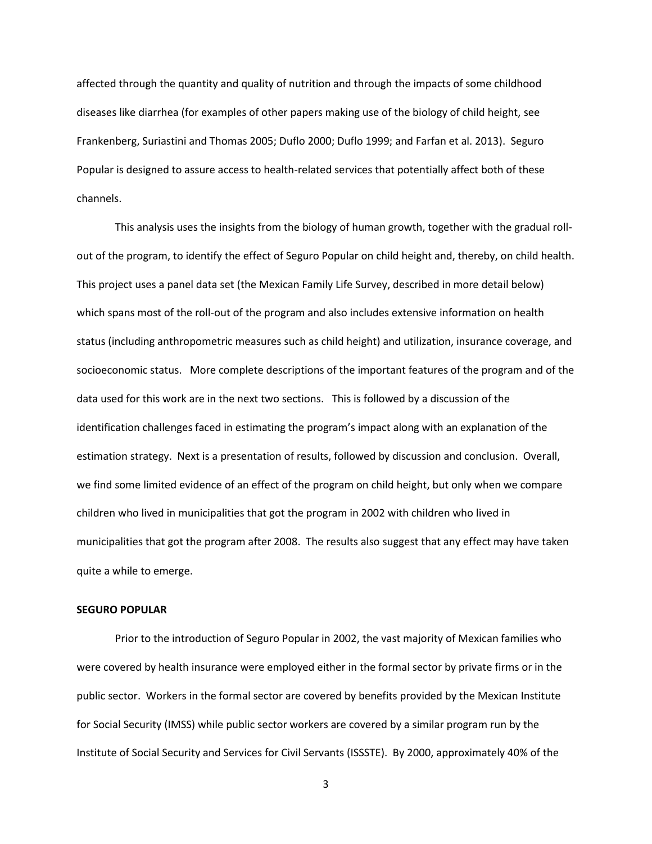affected through the quantity and quality of nutrition and through the impacts of some childhood diseases like diarrhea (for examples of other papers making use of the biology of child height, see Frankenberg, Suriastini and Thomas 2005; Duflo 2000; Duflo 1999; and Farfan et al. 2013). Seguro Popular is designed to assure access to health-related services that potentially affect both of these channels.

This analysis uses the insights from the biology of human growth, together with the gradual rollout of the program, to identify the effect of Seguro Popular on child height and, thereby, on child health. This project uses a panel data set (the Mexican Family Life Survey, described in more detail below) which spans most of the roll-out of the program and also includes extensive information on health status (including anthropometric measures such as child height) and utilization, insurance coverage, and socioeconomic status. More complete descriptions of the important features of the program and of the data used for this work are in the next two sections. This is followed by a discussion of the identification challenges faced in estimating the program's impact along with an explanation of the estimation strategy. Next is a presentation of results, followed by discussion and conclusion. Overall, we find some limited evidence of an effect of the program on child height, but only when we compare children who lived in municipalities that got the program in 2002 with children who lived in municipalities that got the program after 2008. The results also suggest that any effect may have taken quite a while to emerge.

#### **SEGURO POPULAR**

Prior to the introduction of Seguro Popular in 2002, the vast majority of Mexican families who were covered by health insurance were employed either in the formal sector by private firms or in the public sector. Workers in the formal sector are covered by benefits provided by the Mexican Institute for Social Security (IMSS) while public sector workers are covered by a similar program run by the Institute of Social Security and Services for Civil Servants (ISSSTE). By 2000, approximately 40% of the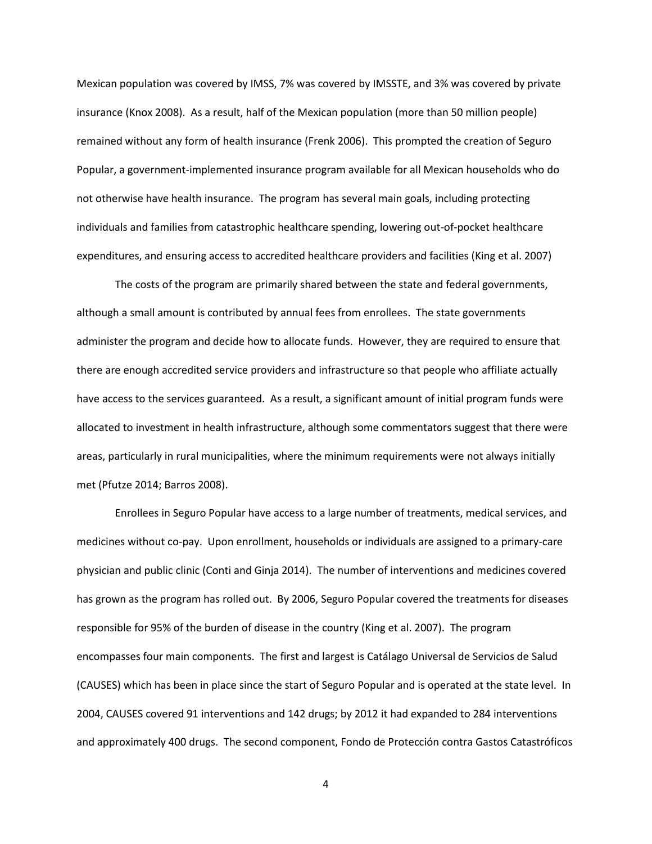Mexican population was covered by IMSS, 7% was covered by IMSSTE, and 3% was covered by private insurance (Knox 2008). As a result, half of the Mexican population (more than 50 million people) remained without any form of health insurance (Frenk 2006). This prompted the creation of Seguro Popular, a government-implemented insurance program available for all Mexican households who do not otherwise have health insurance. The program has several main goals, including protecting individuals and families from catastrophic healthcare spending, lowering out-of-pocket healthcare expenditures, and ensuring access to accredited healthcare providers and facilities (King et al. 2007)

The costs of the program are primarily shared between the state and federal governments, although a small amount is contributed by annual fees from enrollees. The state governments administer the program and decide how to allocate funds. However, they are required to ensure that there are enough accredited service providers and infrastructure so that people who affiliate actually have access to the services guaranteed. As a result, a significant amount of initial program funds were allocated to investment in health infrastructure, although some commentators suggest that there were areas, particularly in rural municipalities, where the minimum requirements were not always initially met (Pfutze 2014; Barros 2008).

Enrollees in Seguro Popular have access to a large number of treatments, medical services, and medicines without co-pay. Upon enrollment, households or individuals are assigned to a primary-care physician and public clinic (Conti and Ginja 2014). The number of interventions and medicines covered has grown as the program has rolled out. By 2006, Seguro Popular covered the treatments for diseases responsible for 95% of the burden of disease in the country (King et al. 2007). The program encompasses four main components. The first and largest is Catálago Universal de Servicios de Salud (CAUSES) which has been in place since the start of Seguro Popular and is operated at the state level. In 2004, CAUSES covered 91 interventions and 142 drugs; by 2012 it had expanded to 284 interventions and approximately 400 drugs. The second component, Fondo de Protección contra Gastos Catastróficos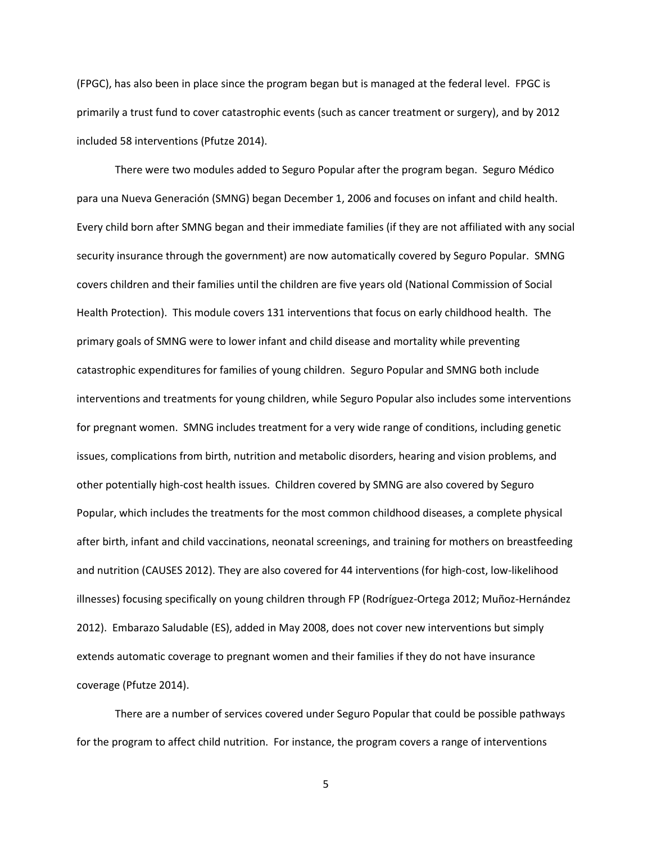(FPGC), has also been in place since the program began but is managed at the federal level. FPGC is primarily a trust fund to cover catastrophic events (such as cancer treatment or surgery), and by 2012 included 58 interventions (Pfutze 2014).

There were two modules added to Seguro Popular after the program began. Seguro Médico para una Nueva Generación (SMNG) began December 1, 2006 and focuses on infant and child health. Every child born after SMNG began and their immediate families (if they are not affiliated with any social security insurance through the government) are now automatically covered by Seguro Popular. SMNG covers children and their families until the children are five years old (National Commission of Social Health Protection). This module covers 131 interventions that focus on early childhood health. The primary goals of SMNG were to lower infant and child disease and mortality while preventing catastrophic expenditures for families of young children. Seguro Popular and SMNG both include interventions and treatments for young children, while Seguro Popular also includes some interventions for pregnant women. SMNG includes treatment for a very wide range of conditions, including genetic issues, complications from birth, nutrition and metabolic disorders, hearing and vision problems, and other potentially high-cost health issues. Children covered by SMNG are also covered by Seguro Popular, which includes the treatments for the most common childhood diseases, a complete physical after birth, infant and child vaccinations, neonatal screenings, and training for mothers on breastfeeding and nutrition (CAUSES 2012). They are also covered for 44 interventions (for high-cost, low-likelihood illnesses) focusing specifically on young children through FP (Rodríguez-Ortega 2012; Muñoz-Hernández 2012). Embarazo Saludable (ES), added in May 2008, does not cover new interventions but simply extends automatic coverage to pregnant women and their families if they do not have insurance coverage (Pfutze 2014).

There are a number of services covered under Seguro Popular that could be possible pathways for the program to affect child nutrition. For instance, the program covers a range of interventions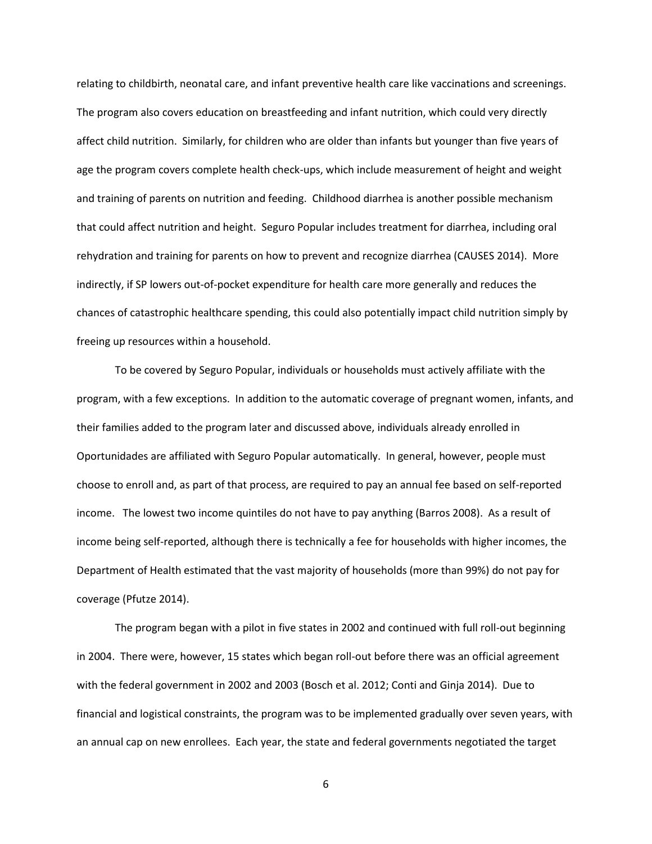relating to childbirth, neonatal care, and infant preventive health care like vaccinations and screenings. The program also covers education on breastfeeding and infant nutrition, which could very directly affect child nutrition. Similarly, for children who are older than infants but younger than five years of age the program covers complete health check-ups, which include measurement of height and weight and training of parents on nutrition and feeding. Childhood diarrhea is another possible mechanism that could affect nutrition and height. Seguro Popular includes treatment for diarrhea, including oral rehydration and training for parents on how to prevent and recognize diarrhea (CAUSES 2014). More indirectly, if SP lowers out-of-pocket expenditure for health care more generally and reduces the chances of catastrophic healthcare spending, this could also potentially impact child nutrition simply by freeing up resources within a household.

To be covered by Seguro Popular, individuals or households must actively affiliate with the program, with a few exceptions. In addition to the automatic coverage of pregnant women, infants, and their families added to the program later and discussed above, individuals already enrolled in Oportunidades are affiliated with Seguro Popular automatically. In general, however, people must choose to enroll and, as part of that process, are required to pay an annual fee based on self-reported income. The lowest two income quintiles do not have to pay anything (Barros 2008). As a result of income being self-reported, although there is technically a fee for households with higher incomes, the Department of Health estimated that the vast majority of households (more than 99%) do not pay for coverage (Pfutze 2014).

The program began with a pilot in five states in 2002 and continued with full roll-out beginning in 2004. There were, however, 15 states which began roll-out before there was an official agreement with the federal government in 2002 and 2003 (Bosch et al. 2012; Conti and Ginja 2014). Due to financial and logistical constraints, the program was to be implemented gradually over seven years, with an annual cap on new enrollees. Each year, the state and federal governments negotiated the target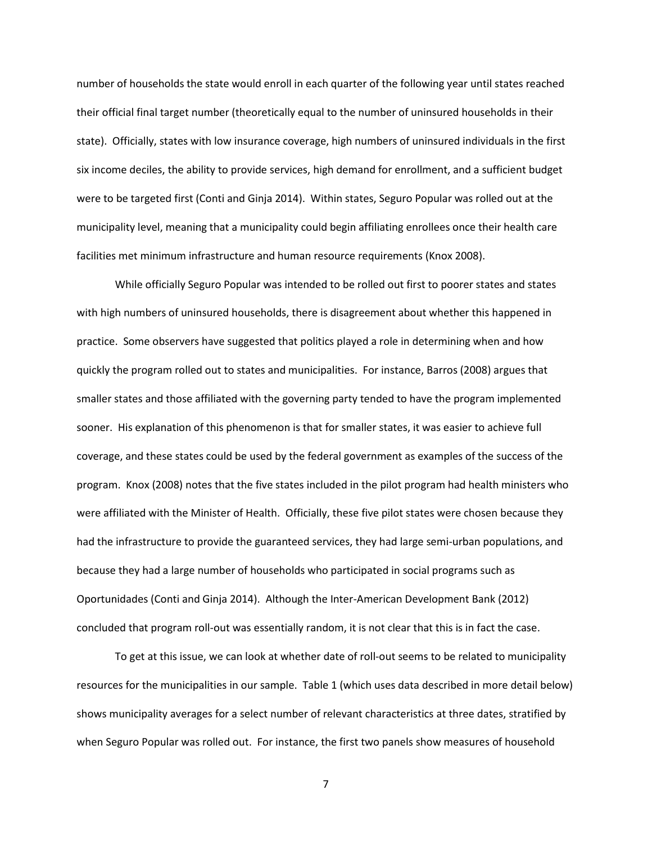number of households the state would enroll in each quarter of the following year until states reached their official final target number (theoretically equal to the number of uninsured households in their state). Officially, states with low insurance coverage, high numbers of uninsured individuals in the first six income deciles, the ability to provide services, high demand for enrollment, and a sufficient budget were to be targeted first (Conti and Ginja 2014). Within states, Seguro Popular was rolled out at the municipality level, meaning that a municipality could begin affiliating enrollees once their health care facilities met minimum infrastructure and human resource requirements (Knox 2008).

While officially Seguro Popular was intended to be rolled out first to poorer states and states with high numbers of uninsured households, there is disagreement about whether this happened in practice. Some observers have suggested that politics played a role in determining when and how quickly the program rolled out to states and municipalities. For instance, Barros (2008) argues that smaller states and those affiliated with the governing party tended to have the program implemented sooner. His explanation of this phenomenon is that for smaller states, it was easier to achieve full coverage, and these states could be used by the federal government as examples of the success of the program. Knox (2008) notes that the five states included in the pilot program had health ministers who were affiliated with the Minister of Health. Officially, these five pilot states were chosen because they had the infrastructure to provide the guaranteed services, they had large semi-urban populations, and because they had a large number of households who participated in social programs such as Oportunidades (Conti and Ginja 2014). Although the Inter-American Development Bank (2012) concluded that program roll-out was essentially random, it is not clear that this is in fact the case.

To get at this issue, we can look at whether date of roll-out seems to be related to municipality resources for the municipalities in our sample. Table 1 (which uses data described in more detail below) shows municipality averages for a select number of relevant characteristics at three dates, stratified by when Seguro Popular was rolled out. For instance, the first two panels show measures of household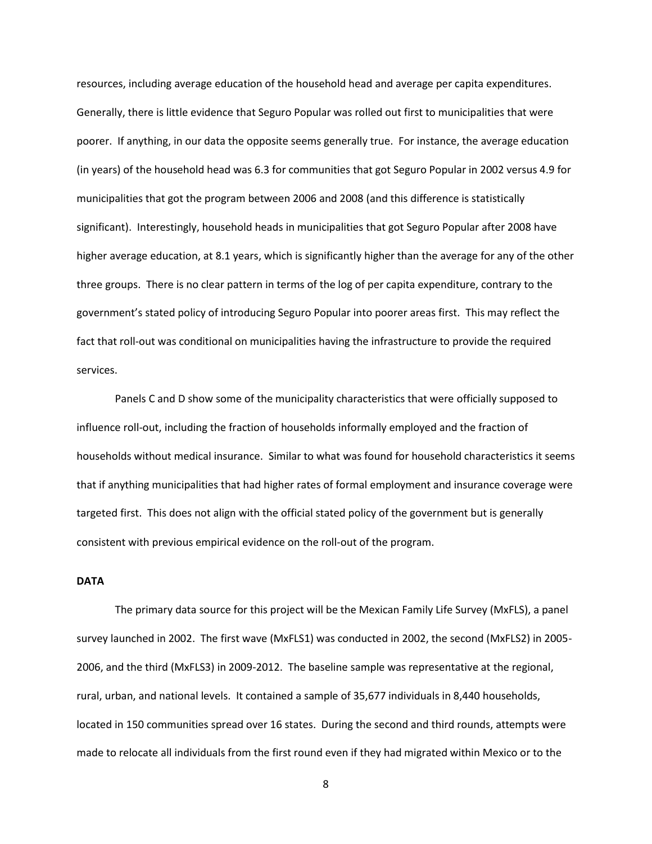resources, including average education of the household head and average per capita expenditures. Generally, there is little evidence that Seguro Popular was rolled out first to municipalities that were poorer. If anything, in our data the opposite seems generally true. For instance, the average education (in years) of the household head was 6.3 for communities that got Seguro Popular in 2002 versus 4.9 for municipalities that got the program between 2006 and 2008 (and this difference is statistically significant). Interestingly, household heads in municipalities that got Seguro Popular after 2008 have higher average education, at 8.1 years, which is significantly higher than the average for any of the other three groups. There is no clear pattern in terms of the log of per capita expenditure, contrary to the government's stated policy of introducing Seguro Popular into poorer areas first. This may reflect the fact that roll-out was conditional on municipalities having the infrastructure to provide the required services.

Panels C and D show some of the municipality characteristics that were officially supposed to influence roll-out, including the fraction of households informally employed and the fraction of households without medical insurance. Similar to what was found for household characteristics it seems that if anything municipalities that had higher rates of formal employment and insurance coverage were targeted first. This does not align with the official stated policy of the government but is generally consistent with previous empirical evidence on the roll-out of the program.

### **DATA**

The primary data source for this project will be the Mexican Family Life Survey (MxFLS), a panel survey launched in 2002. The first wave (MxFLS1) was conducted in 2002, the second (MxFLS2) in 2005- 2006, and the third (MxFLS3) in 2009-2012. The baseline sample was representative at the regional, rural, urban, and national levels. It contained a sample of 35,677 individuals in 8,440 households, located in 150 communities spread over 16 states. During the second and third rounds, attempts were made to relocate all individuals from the first round even if they had migrated within Mexico or to the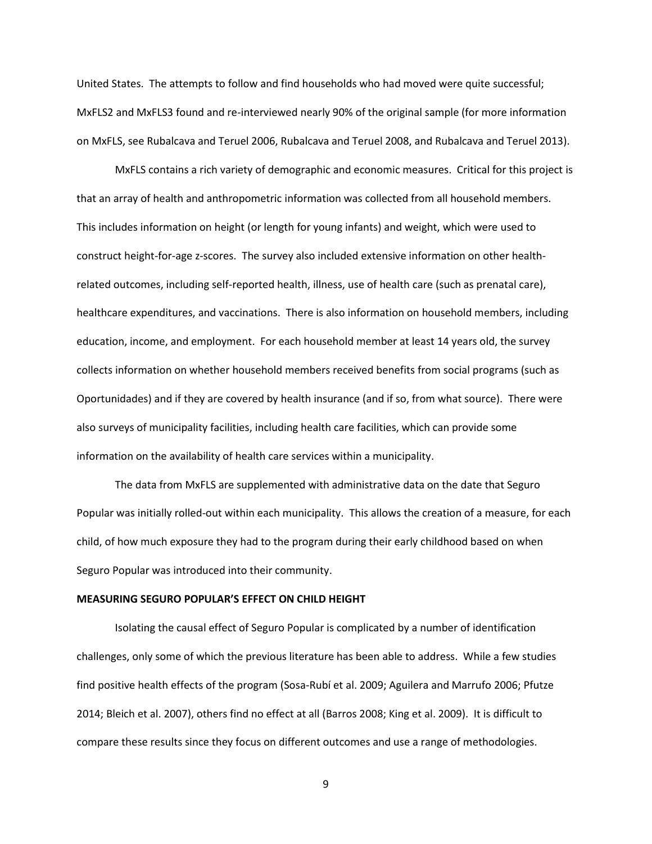United States. The attempts to follow and find households who had moved were quite successful; MxFLS2 and MxFLS3 found and re-interviewed nearly 90% of the original sample (for more information on MxFLS, see Rubalcava and Teruel 2006, Rubalcava and Teruel 2008, and Rubalcava and Teruel 2013).

MxFLS contains a rich variety of demographic and economic measures. Critical for this project is that an array of health and anthropometric information was collected from all household members. This includes information on height (or length for young infants) and weight, which were used to construct height-for-age z-scores. The survey also included extensive information on other healthrelated outcomes, including self-reported health, illness, use of health care (such as prenatal care), healthcare expenditures, and vaccinations. There is also information on household members, including education, income, and employment. For each household member at least 14 years old, the survey collects information on whether household members received benefits from social programs (such as Oportunidades) and if they are covered by health insurance (and if so, from what source). There were also surveys of municipality facilities, including health care facilities, which can provide some information on the availability of health care services within a municipality.

The data from MxFLS are supplemented with administrative data on the date that Seguro Popular was initially rolled-out within each municipality. This allows the creation of a measure, for each child, of how much exposure they had to the program during their early childhood based on when Seguro Popular was introduced into their community.

#### **MEASURING SEGURO POPULAR'S EFFECT ON CHILD HEIGHT**

Isolating the causal effect of Seguro Popular is complicated by a number of identification challenges, only some of which the previous literature has been able to address. While a few studies find positive health effects of the program (Sosa-Rubí et al. 2009; Aguilera and Marrufo 2006; Pfutze 2014; Bleich et al. 2007), others find no effect at all (Barros 2008; King et al. 2009). It is difficult to compare these results since they focus on different outcomes and use a range of methodologies.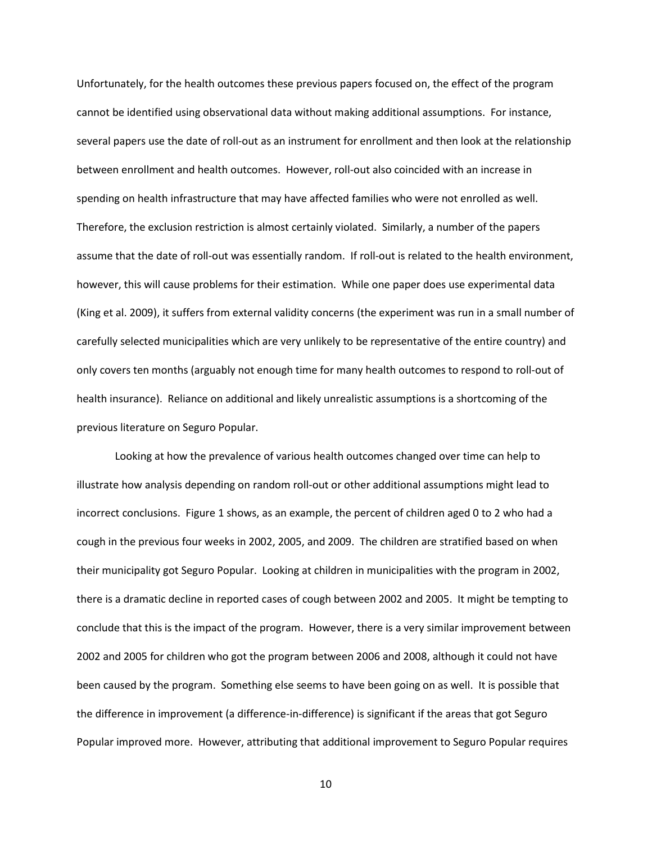Unfortunately, for the health outcomes these previous papers focused on, the effect of the program cannot be identified using observational data without making additional assumptions. For instance, several papers use the date of roll-out as an instrument for enrollment and then look at the relationship between enrollment and health outcomes. However, roll-out also coincided with an increase in spending on health infrastructure that may have affected families who were not enrolled as well. Therefore, the exclusion restriction is almost certainly violated. Similarly, a number of the papers assume that the date of roll-out was essentially random. If roll-out is related to the health environment, however, this will cause problems for their estimation. While one paper does use experimental data (King et al. 2009), it suffers from external validity concerns (the experiment was run in a small number of carefully selected municipalities which are very unlikely to be representative of the entire country) and only covers ten months (arguably not enough time for many health outcomes to respond to roll-out of health insurance). Reliance on additional and likely unrealistic assumptions is a shortcoming of the previous literature on Seguro Popular.

Looking at how the prevalence of various health outcomes changed over time can help to illustrate how analysis depending on random roll-out or other additional assumptions might lead to incorrect conclusions. Figure 1 shows, as an example, the percent of children aged 0 to 2 who had a cough in the previous four weeks in 2002, 2005, and 2009. The children are stratified based on when their municipality got Seguro Popular. Looking at children in municipalities with the program in 2002, there is a dramatic decline in reported cases of cough between 2002 and 2005. It might be tempting to conclude that this is the impact of the program. However, there is a very similar improvement between 2002 and 2005 for children who got the program between 2006 and 2008, although it could not have been caused by the program. Something else seems to have been going on as well. It is possible that the difference in improvement (a difference-in-difference) is significant if the areas that got Seguro Popular improved more. However, attributing that additional improvement to Seguro Popular requires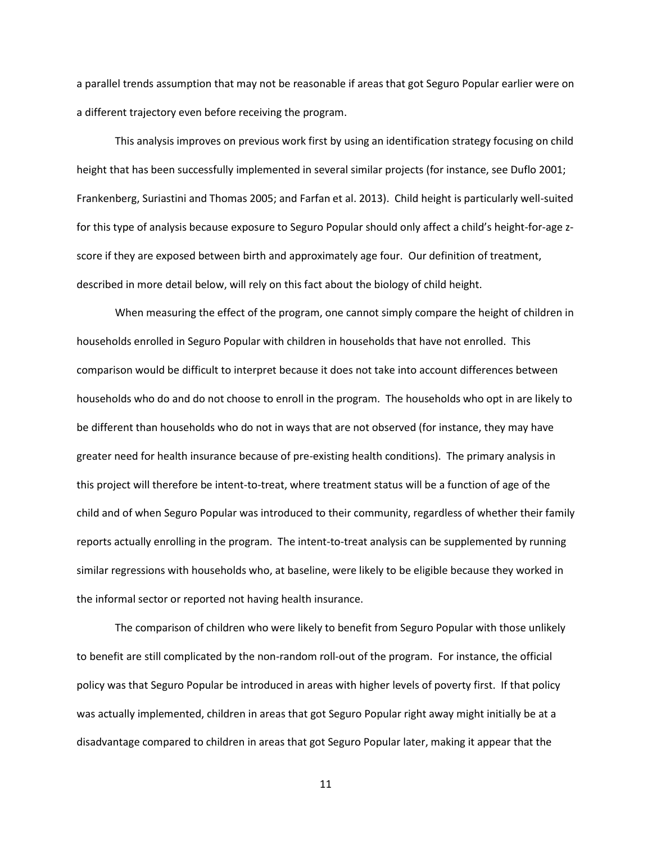a parallel trends assumption that may not be reasonable if areas that got Seguro Popular earlier were on a different trajectory even before receiving the program.

This analysis improves on previous work first by using an identification strategy focusing on child height that has been successfully implemented in several similar projects (for instance, see Duflo 2001; Frankenberg, Suriastini and Thomas 2005; and Farfan et al. 2013). Child height is particularly well-suited for this type of analysis because exposure to Seguro Popular should only affect a child's height-for-age zscore if they are exposed between birth and approximately age four. Our definition of treatment, described in more detail below, will rely on this fact about the biology of child height.

When measuring the effect of the program, one cannot simply compare the height of children in households enrolled in Seguro Popular with children in households that have not enrolled. This comparison would be difficult to interpret because it does not take into account differences between households who do and do not choose to enroll in the program. The households who opt in are likely to be different than households who do not in ways that are not observed (for instance, they may have greater need for health insurance because of pre-existing health conditions). The primary analysis in this project will therefore be intent-to-treat, where treatment status will be a function of age of the child and of when Seguro Popular was introduced to their community, regardless of whether their family reports actually enrolling in the program. The intent-to-treat analysis can be supplemented by running similar regressions with households who, at baseline, were likely to be eligible because they worked in the informal sector or reported not having health insurance.

The comparison of children who were likely to benefit from Seguro Popular with those unlikely to benefit are still complicated by the non-random roll-out of the program. For instance, the official policy was that Seguro Popular be introduced in areas with higher levels of poverty first. If that policy was actually implemented, children in areas that got Seguro Popular right away might initially be at a disadvantage compared to children in areas that got Seguro Popular later, making it appear that the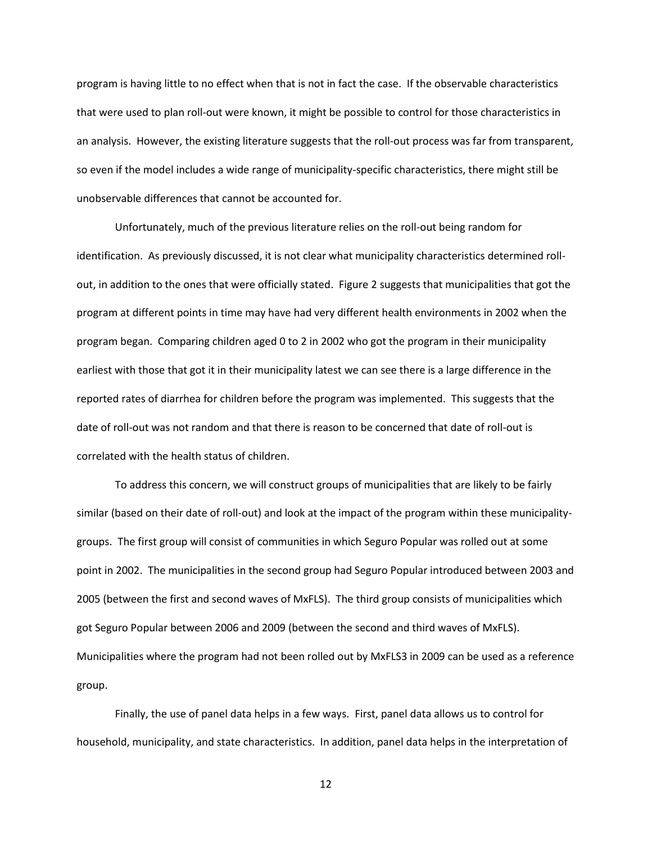program is having little to no effect when that is not in fact the case. If the observable characteristics that were used to plan roll-out were known, it might be possible to control for those characteristics in an analysis. However, the existing literature suggests that the roll-out process was far from transparent, so even if the model includes a wide range of municipality-specific characteristics, there might still be unobservable differences that cannot be accounted for.

Unfortunately, much of the previous literature relies on the roll-out being random for identification. As previously discussed, it is not clear what municipality characteristics determined rollout, in addition to the ones that were officially stated. Figure 2 suggests that municipalities that got the program at different points in time may have had very different health environments in 2002 when the program began. Comparing children aged 0 to 2 in 2002 who got the program in their municipality earliest with those that got it in their municipality latest we can see there is a large difference in the reported rates of diarrhea for children before the program was implemented. This suggests that the date of roll-out was not random and that there is reason to be concerned that date of roll-out is correlated with the health status of children.

To address this concern, we will construct groups of municipalities that are likely to be fairly similar (based on their date of roll-out) and look at the impact of the program within these municipalitygroups. The first group will consist of communities in which Seguro Popular was rolled out at some point in 2002. The municipalities in the second group had Seguro Popular introduced between 2003 and 2005 (between the first and second waves of MxFLS). The third group consists of municipalities which got Seguro Popular between 2006 and 2009 (between the second and third waves of MxFLS). Municipalities where the program had not been rolled out by MxFLS3 in 2009 can be used as a reference group.

Finally, the use of panel data helps in a few ways. First, panel data allows us to control for household, municipality, and state characteristics. In addition, panel data helps in the interpretation of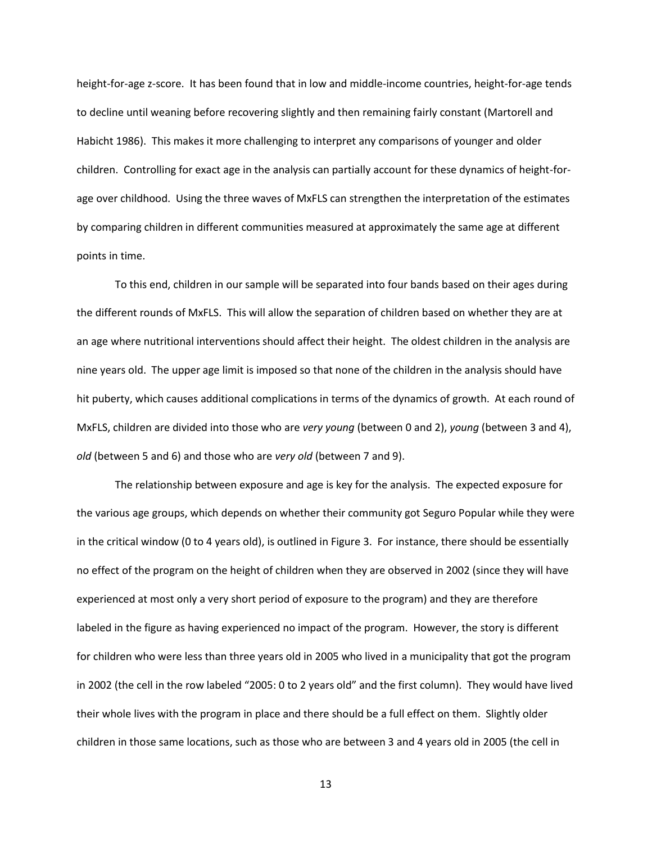height-for-age z-score. It has been found that in low and middle-income countries, height-for-age tends to decline until weaning before recovering slightly and then remaining fairly constant (Martorell and Habicht 1986). This makes it more challenging to interpret any comparisons of younger and older children. Controlling for exact age in the analysis can partially account for these dynamics of height-forage over childhood. Using the three waves of MxFLS can strengthen the interpretation of the estimates by comparing children in different communities measured at approximately the same age at different points in time.

To this end, children in our sample will be separated into four bands based on their ages during the different rounds of MxFLS. This will allow the separation of children based on whether they are at an age where nutritional interventions should affect their height. The oldest children in the analysis are nine years old. The upper age limit is imposed so that none of the children in the analysis should have hit puberty, which causes additional complications in terms of the dynamics of growth. At each round of MxFLS, children are divided into those who are *very young* (between 0 and 2), *young* (between 3 and 4), *old* (between 5 and 6) and those who are *very old* (between 7 and 9).

The relationship between exposure and age is key for the analysis. The expected exposure for the various age groups, which depends on whether their community got Seguro Popular while they were in the critical window (0 to 4 years old), is outlined in Figure 3. For instance, there should be essentially no effect of the program on the height of children when they are observed in 2002 (since they will have experienced at most only a very short period of exposure to the program) and they are therefore labeled in the figure as having experienced no impact of the program. However, the story is different for children who were less than three years old in 2005 who lived in a municipality that got the program in 2002 (the cell in the row labeled "2005: 0 to 2 years old" and the first column). They would have lived their whole lives with the program in place and there should be a full effect on them. Slightly older children in those same locations, such as those who are between 3 and 4 years old in 2005 (the cell in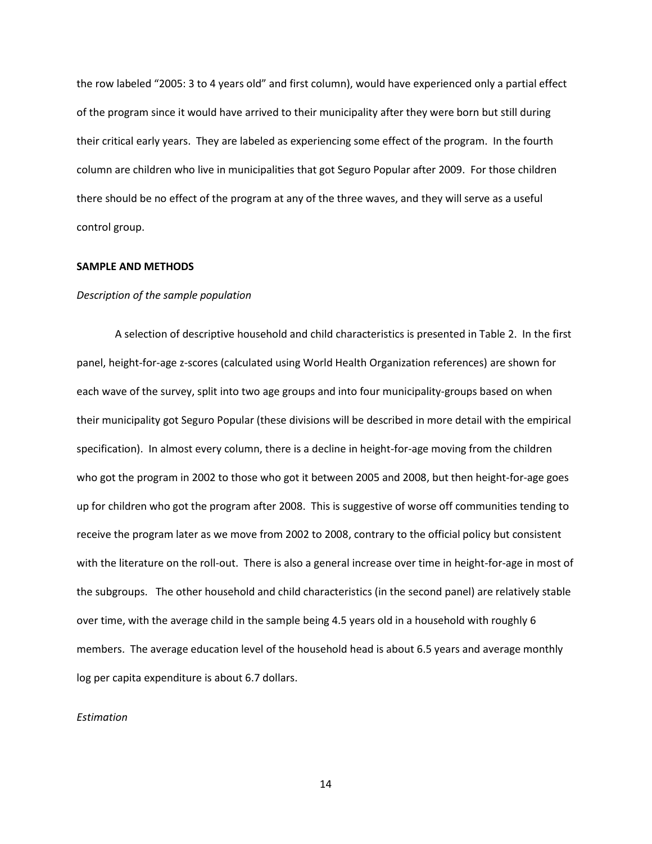the row labeled "2005: 3 to 4 years old" and first column), would have experienced only a partial effect of the program since it would have arrived to their municipality after they were born but still during their critical early years. They are labeled as experiencing some effect of the program. In the fourth column are children who live in municipalities that got Seguro Popular after 2009. For those children there should be no effect of the program at any of the three waves, and they will serve as a useful control group.

#### **SAMPLE AND METHODS**

#### *Description of the sample population*

A selection of descriptive household and child characteristics is presented in Table 2. In the first panel, height-for-age z-scores (calculated using World Health Organization references) are shown for each wave of the survey, split into two age groups and into four municipality-groups based on when their municipality got Seguro Popular (these divisions will be described in more detail with the empirical specification). In almost every column, there is a decline in height-for-age moving from the children who got the program in 2002 to those who got it between 2005 and 2008, but then height-for-age goes up for children who got the program after 2008. This is suggestive of worse off communities tending to receive the program later as we move from 2002 to 2008, contrary to the official policy but consistent with the literature on the roll-out. There is also a general increase over time in height-for-age in most of the subgroups. The other household and child characteristics (in the second panel) are relatively stable over time, with the average child in the sample being 4.5 years old in a household with roughly 6 members. The average education level of the household head is about 6.5 years and average monthly log per capita expenditure is about 6.7 dollars.

#### *Estimation*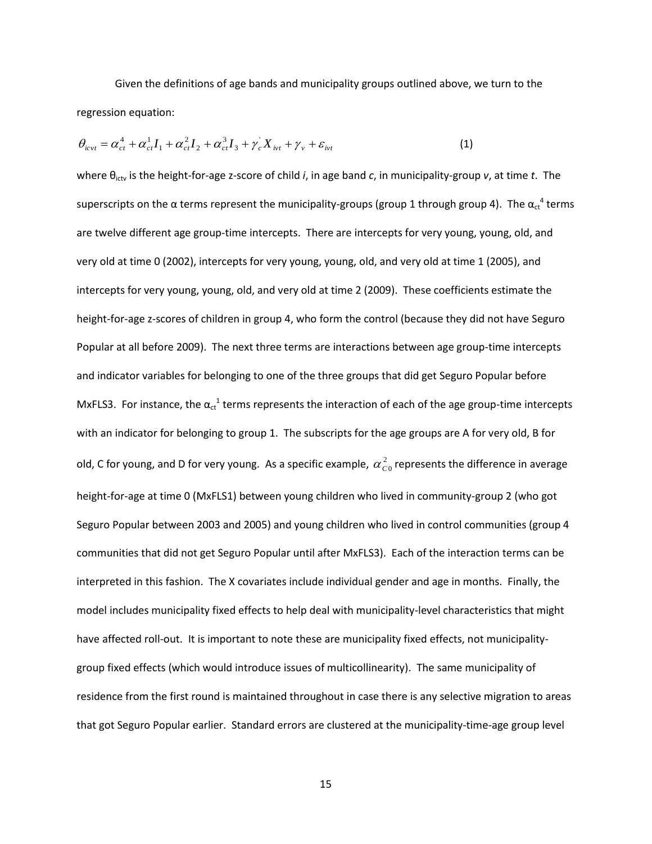Given the definitions of age bands and municipality groups outlined above, we turn to the regression equation:

$$
\theta_{icvt} = \alpha_{ct}^4 + \alpha_{ct}^1 I_1 + \alpha_{ct}^2 I_2 + \alpha_{ct}^3 I_3 + \gamma_c^{\dagger} X_{ivt} + \gamma_v + \varepsilon_{ivt}
$$
\n(1)

where θictv is the height-for-age z-score of child *i*, in age band *c*, in municipality-group *v*, at time *t*. The superscripts on the  $\alpha$  terms represent the municipality-groups (group 1 through group 4). The  $\alpha_{\rm ct}^{-4}$  terms are twelve different age group-time intercepts. There are intercepts for very young, young, old, and very old at time 0 (2002), intercepts for very young, young, old, and very old at time 1 (2005), and intercepts for very young, young, old, and very old at time 2 (2009). These coefficients estimate the height-for-age z-scores of children in group 4, who form the control (because they did not have Seguro Popular at all before 2009). The next three terms are interactions between age group-time intercepts and indicator variables for belonging to one of the three groups that did get Seguro Popular before MxFLS3. For instance, the  $\alpha_{ct}$ <sup>1</sup> terms represents the interaction of each of the age group-time intercepts with an indicator for belonging to group 1. The subscripts for the age groups are A for very old, B for old, C for young, and D for very young. As a specific example,  $\alpha_{\rm\scriptscriptstyle CO}^{\,2}$  represents the difference in average height-for-age at time 0 (MxFLS1) between young children who lived in community-group 2 (who got Seguro Popular between 2003 and 2005) and young children who lived in control communities (group 4 communities that did not get Seguro Popular until after MxFLS3). Each of the interaction terms can be interpreted in this fashion. The X covariates include individual gender and age in months. Finally, the model includes municipality fixed effects to help deal with municipality-level characteristics that might have affected roll-out. It is important to note these are municipality fixed effects, not municipalitygroup fixed effects (which would introduce issues of multicollinearity). The same municipality of residence from the first round is maintained throughout in case there is any selective migration to areas that got Seguro Popular earlier. Standard errors are clustered at the municipality-time-age group level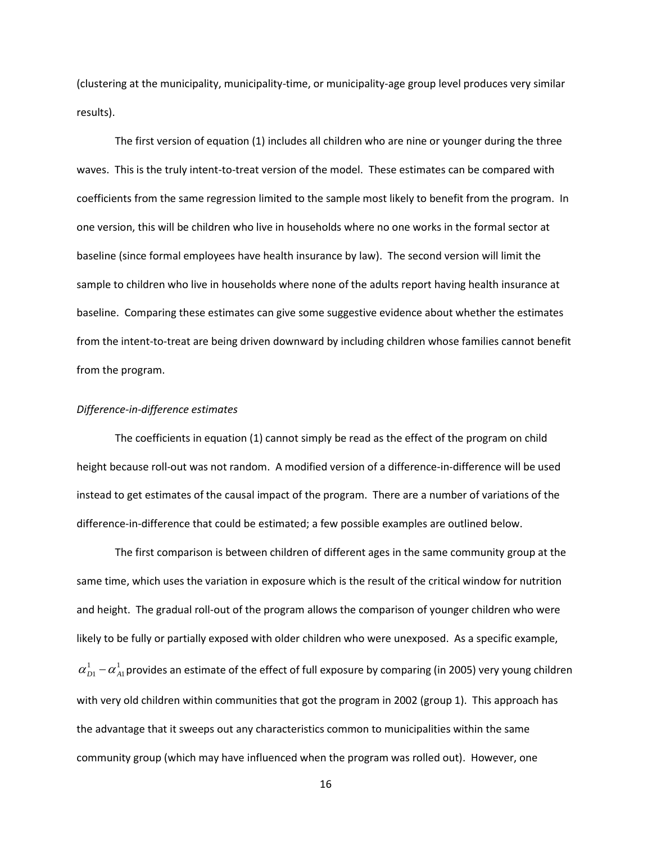(clustering at the municipality, municipality-time, or municipality-age group level produces very similar results).

The first version of equation (1) includes all children who are nine or younger during the three waves. This is the truly intent-to-treat version of the model. These estimates can be compared with coefficients from the same regression limited to the sample most likely to benefit from the program. In one version, this will be children who live in households where no one works in the formal sector at baseline (since formal employees have health insurance by law). The second version will limit the sample to children who live in households where none of the adults report having health insurance at baseline. Comparing these estimates can give some suggestive evidence about whether the estimates from the intent-to-treat are being driven downward by including children whose families cannot benefit from the program.

#### *Difference-in-difference estimates*

The coefficients in equation (1) cannot simply be read as the effect of the program on child height because roll-out was not random. A modified version of a difference-in-difference will be used instead to get estimates of the causal impact of the program. There are a number of variations of the difference-in-difference that could be estimated; a few possible examples are outlined below.

The first comparison is between children of different ages in the same community group at the same time, which uses the variation in exposure which is the result of the critical window for nutrition and height. The gradual roll-out of the program allows the comparison of younger children who were likely to be fully or partially exposed with older children who were unexposed. As a specific example, 1  $\alpha_{D1}^1-\alpha_{A1}^1$ provides an estimate of the effect of full exposure by comparing (in 2005) very young children with very old children within communities that got the program in 2002 (group 1). This approach has the advantage that it sweeps out any characteristics common to municipalities within the same community group (which may have influenced when the program was rolled out). However, one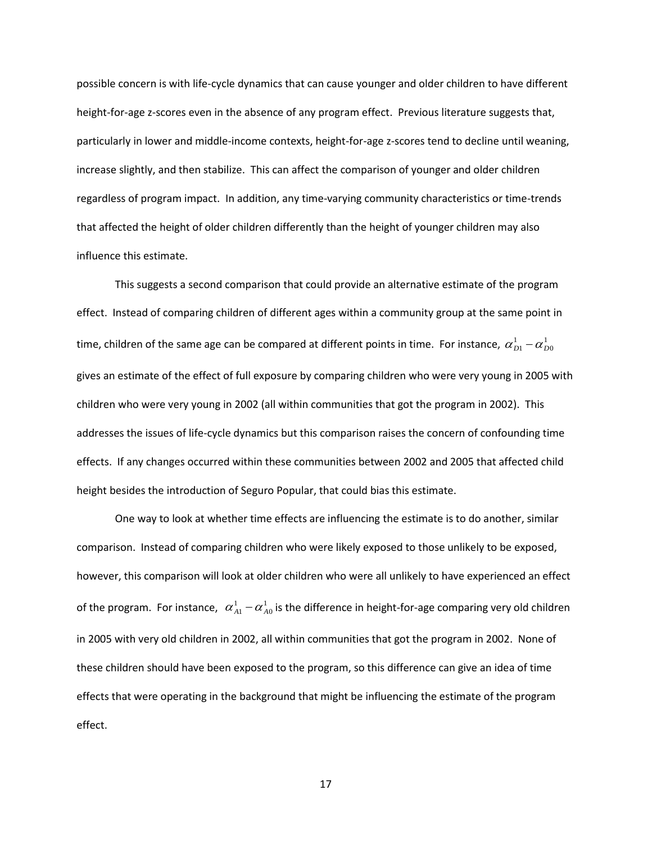possible concern is with life-cycle dynamics that can cause younger and older children to have different height-for-age z-scores even in the absence of any program effect. Previous literature suggests that, particularly in lower and middle-income contexts, height-for-age z-scores tend to decline until weaning, increase slightly, and then stabilize. This can affect the comparison of younger and older children regardless of program impact. In addition, any time-varying community characteristics or time-trends that affected the height of older children differently than the height of younger children may also influence this estimate.

This suggests a second comparison that could provide an alternative estimate of the program effect. Instead of comparing children of different ages within a community group at the same point in time, children of the same age can be compared at different points in time. For instance,  $\alpha_{\scriptscriptstyle D1}^1$  –  $\alpha_{\scriptscriptstyle L}^1$  $\alpha_{\scriptscriptstyle D1}^{\scriptscriptstyle 1}$   $\alpha_{\scriptscriptstyle D0}^{\scriptscriptstyle 1}$ gives an estimate of the effect of full exposure by comparing children who were very young in 2005 with children who were very young in 2002 (all within communities that got the program in 2002). This addresses the issues of life-cycle dynamics but this comparison raises the concern of confounding time effects. If any changes occurred within these communities between 2002 and 2005 that affected child height besides the introduction of Seguro Popular, that could bias this estimate.

One way to look at whether time effects are influencing the estimate is to do another, similar comparison. Instead of comparing children who were likely exposed to those unlikely to be exposed, however, this comparison will look at older children who were all unlikely to have experienced an effect of the program. For instance,  $\alpha_{A1}^1 - \alpha_A^1$  $\alpha_{\scriptscriptstyle{A1}}^1$  –  $\alpha_{\scriptscriptstyle{A0}}^1$  is the difference in height-for-age comparing very old children in 2005 with very old children in 2002, all within communities that got the program in 2002. None of these children should have been exposed to the program, so this difference can give an idea of time effects that were operating in the background that might be influencing the estimate of the program effect.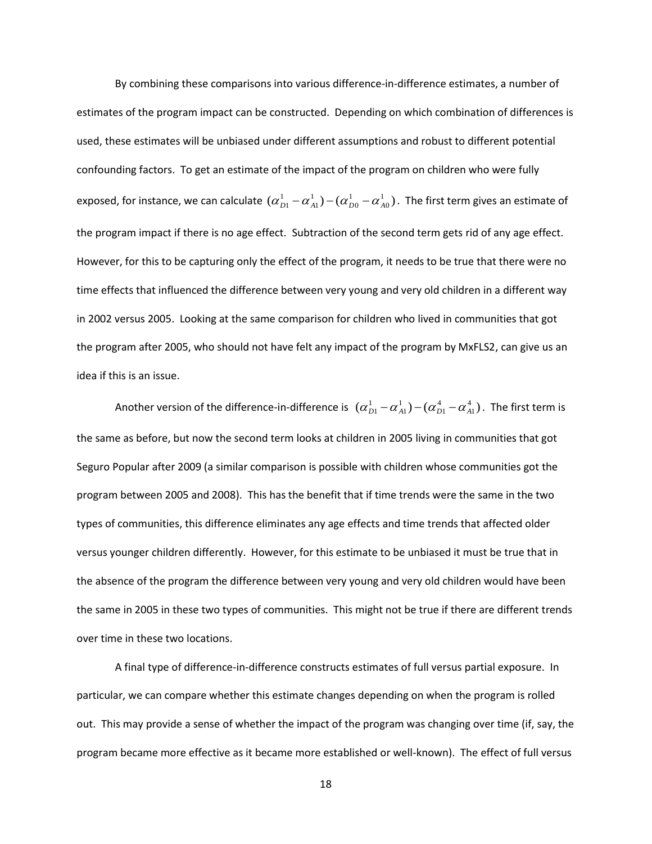By combining these comparisons into various difference-in-difference estimates, a number of estimates of the program impact can be constructed. Depending on which combination of differences is used, these estimates will be unbiased under different assumptions and robust to different potential confounding factors. To get an estimate of the impact of the program on children who were fully exposed, for instance, we can calculate  $(\alpha_{D1}^1 - \alpha_{A1}^1) - (\alpha_{D0}^1 - \alpha_{A0}^1)$ 0 1 0 1  $\alpha_{\scriptscriptstyle D1}^1$   $-\alpha_{\scriptscriptstyle A1}^1)$   $(\alpha_{\scriptscriptstyle D0}^1$   $\alpha_{\scriptscriptstyle A0}^1)$  . The first term gives an estimate of the program impact if there is no age effect. Subtraction of the second term gets rid of any age effect. However, for this to be capturing only the effect of the program, it needs to be true that there were no time effects that influenced the difference between very young and very old children in a different way in 2002 versus 2005. Looking at the same comparison for children who lived in communities that got the program after 2005, who should not have felt any impact of the program by MxFLS2, can give us an idea if this is an issue.

Another version of the difference-in-difference is  $\ (\alpha_{D1}^1 - \alpha_{A1}^1) - (\alpha_{D1}^4 - \alpha_{A1}^4)$ 1 4 1 1  $\alpha_{\rm\scriptscriptstyle D1}^{\rm\scriptscriptstyle 1}$   $\alpha_{\rm\scriptscriptstyle A1}^{\rm\scriptscriptstyle 4}$   $\alpha_{\rm\scriptscriptstyle A1}^{\rm\scriptscriptstyle 4}$   $).$  The first term is the same as before, but now the second term looks at children in 2005 living in communities that got Seguro Popular after 2009 (a similar comparison is possible with children whose communities got the program between 2005 and 2008). This has the benefit that if time trends were the same in the two types of communities, this difference eliminates any age effects and time trends that affected older versus younger children differently. However, for this estimate to be unbiased it must be true that in the absence of the program the difference between very young and very old children would have been the same in 2005 in these two types of communities. This might not be true if there are different trends over time in these two locations.

A final type of difference-in-difference constructs estimates of full versus partial exposure. In particular, we can compare whether this estimate changes depending on when the program is rolled out. This may provide a sense of whether the impact of the program was changing over time (if, say, the program became more effective as it became more established or well-known). The effect of full versus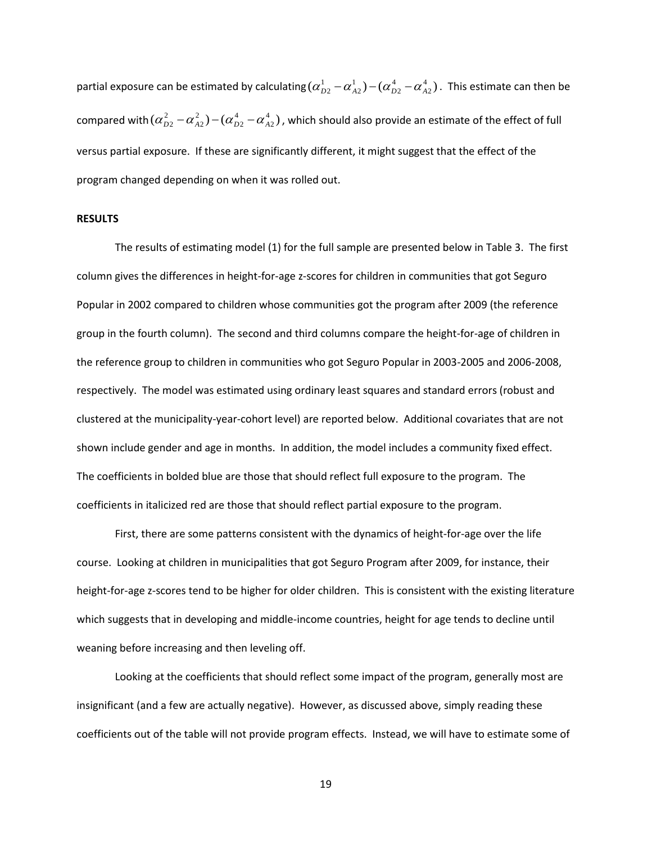partial exposure can be estimated by calculating  $(\alpha_{D2}^1 - \alpha_{A2}^1) - (\alpha_{D2}^4 - \alpha_{A2}^4)$ 2 4 2 1  $\alpha_{\scriptscriptstyle D2}^1$   $-\alpha_{\scriptscriptstyle A2}^1$ )  $(\alpha_{\scriptscriptstyle D2}^4$   $\alpha_{\scriptscriptstyle A2}^4)$  . This estimate can then be compared with  $(\alpha_{D2}^2 - \alpha_{A2}^2) - (\alpha_{D2}^4 - \alpha_{A2}^4)$ 2 4 2 2  $\alpha_{D2}^2-\alpha_{A2}^2)$   $-(\alpha_{D2}^4-\alpha_{A2}^4)$  , which should also provide an estimate of the effect of full versus partial exposure. If these are significantly different, it might suggest that the effect of the program changed depending on when it was rolled out.

#### **RESULTS**

The results of estimating model (1) for the full sample are presented below in Table 3. The first column gives the differences in height-for-age z-scores for children in communities that got Seguro Popular in 2002 compared to children whose communities got the program after 2009 (the reference group in the fourth column). The second and third columns compare the height-for-age of children in the reference group to children in communities who got Seguro Popular in 2003-2005 and 2006-2008, respectively. The model was estimated using ordinary least squares and standard errors (robust and clustered at the municipality-year-cohort level) are reported below. Additional covariates that are not shown include gender and age in months. In addition, the model includes a community fixed effect. The coefficients in bolded blue are those that should reflect full exposure to the program. The coefficients in italicized red are those that should reflect partial exposure to the program.

First, there are some patterns consistent with the dynamics of height-for-age over the life course. Looking at children in municipalities that got Seguro Program after 2009, for instance, their height-for-age z-scores tend to be higher for older children. This is consistent with the existing literature which suggests that in developing and middle-income countries, height for age tends to decline until weaning before increasing and then leveling off.

Looking at the coefficients that should reflect some impact of the program, generally most are insignificant (and a few are actually negative). However, as discussed above, simply reading these coefficients out of the table will not provide program effects. Instead, we will have to estimate some of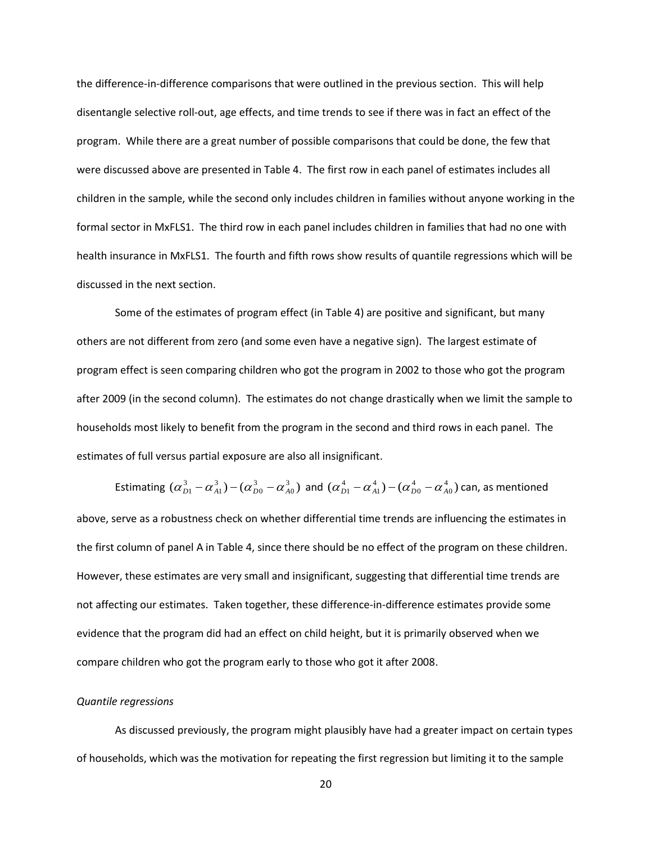the difference-in-difference comparisons that were outlined in the previous section. This will help disentangle selective roll-out, age effects, and time trends to see if there was in fact an effect of the program. While there are a great number of possible comparisons that could be done, the few that were discussed above are presented in Table 4. The first row in each panel of estimates includes all children in the sample, while the second only includes children in families without anyone working in the formal sector in MxFLS1. The third row in each panel includes children in families that had no one with health insurance in MxFLS1. The fourth and fifth rows show results of quantile regressions which will be discussed in the next section.

Some of the estimates of program effect (in Table 4) are positive and significant, but many others are not different from zero (and some even have a negative sign). The largest estimate of program effect is seen comparing children who got the program in 2002 to those who got the program after 2009 (in the second column). The estimates do not change drastically when we limit the sample to households most likely to benefit from the program in the second and third rows in each panel. The estimates of full versus partial exposure are also all insignificant.

Estimating  $(\alpha_{D1}^3 - \alpha_{A1}^3) - (\alpha_{D0}^3 - \alpha_{A0}^3)$ 0 3 0 3  $(\alpha_{D1}^3-\alpha_{A1}^3)-(\alpha_{D0}^3-\alpha_{A0}^3)$  and  $(\alpha_{D1}^4-\alpha_{A1}^4)-(\alpha_{D0}^4-\alpha_{A0}^4)$ 0 4 0 4  $(\alpha_{D1}^4 - \alpha_{A1}^4) - (\alpha_{D0}^4 - \alpha_{A0}^4)$  can, as mentioned above, serve as a robustness check on whether differential time trends are influencing the estimates in the first column of panel A in Table 4, since there should be no effect of the program on these children. However, these estimates are very small and insignificant, suggesting that differential time trends are not affecting our estimates. Taken together, these difference-in-difference estimates provide some evidence that the program did had an effect on child height, but it is primarily observed when we compare children who got the program early to those who got it after 2008.

#### *Quantile regressions*

As discussed previously, the program might plausibly have had a greater impact on certain types of households, which was the motivation for repeating the first regression but limiting it to the sample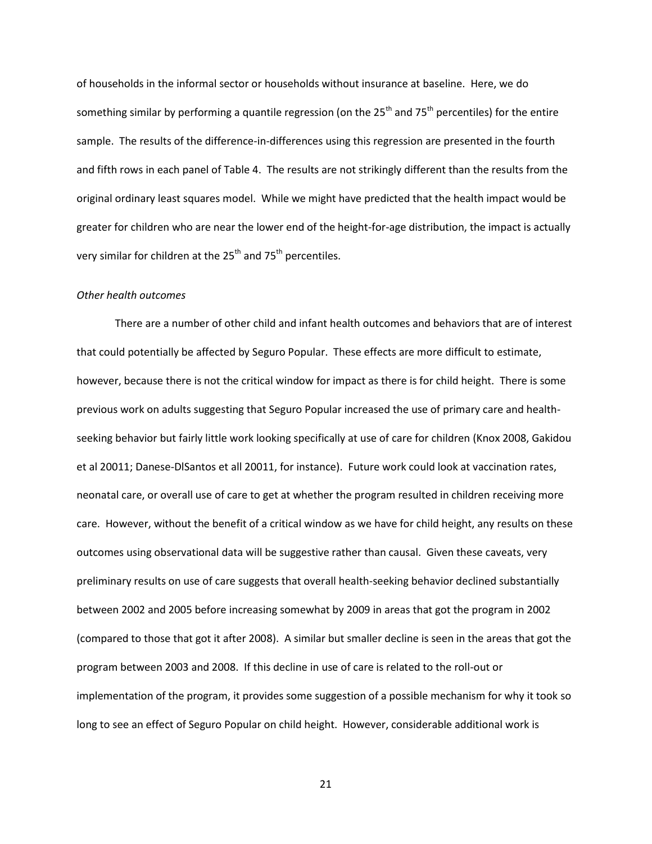of households in the informal sector or households without insurance at baseline. Here, we do something similar by performing a quantile regression (on the 25<sup>th</sup> and 75<sup>th</sup> percentiles) for the entire sample. The results of the difference-in-differences using this regression are presented in the fourth and fifth rows in each panel of Table 4. The results are not strikingly different than the results from the original ordinary least squares model. While we might have predicted that the health impact would be greater for children who are near the lower end of the height-for-age distribution, the impact is actually very similar for children at the  $25<sup>th</sup>$  and 75<sup>th</sup> percentiles.

#### *Other health outcomes*

There are a number of other child and infant health outcomes and behaviors that are of interest that could potentially be affected by Seguro Popular. These effects are more difficult to estimate, however, because there is not the critical window for impact as there is for child height. There is some previous work on adults suggesting that Seguro Popular increased the use of primary care and healthseeking behavior but fairly little work looking specifically at use of care for children (Knox 2008, Gakidou et al 20011; Danese-DlSantos et all 20011, for instance). Future work could look at vaccination rates, neonatal care, or overall use of care to get at whether the program resulted in children receiving more care. However, without the benefit of a critical window as we have for child height, any results on these outcomes using observational data will be suggestive rather than causal. Given these caveats, very preliminary results on use of care suggests that overall health-seeking behavior declined substantially between 2002 and 2005 before increasing somewhat by 2009 in areas that got the program in 2002 (compared to those that got it after 2008). A similar but smaller decline is seen in the areas that got the program between 2003 and 2008. If this decline in use of care is related to the roll-out or implementation of the program, it provides some suggestion of a possible mechanism for why it took so long to see an effect of Seguro Popular on child height. However, considerable additional work is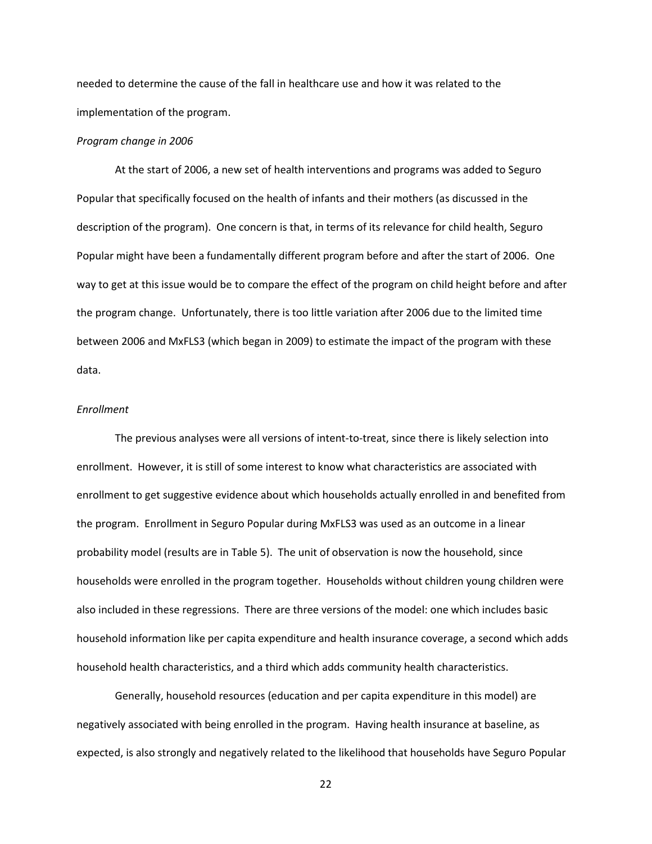needed to determine the cause of the fall in healthcare use and how it was related to the implementation of the program.

#### *Program change in 2006*

At the start of 2006, a new set of health interventions and programs was added to Seguro Popular that specifically focused on the health of infants and their mothers (as discussed in the description of the program). One concern is that, in terms of its relevance for child health, Seguro Popular might have been a fundamentally different program before and after the start of 2006. One way to get at this issue would be to compare the effect of the program on child height before and after the program change. Unfortunately, there is too little variation after 2006 due to the limited time between 2006 and MxFLS3 (which began in 2009) to estimate the impact of the program with these data.

#### *Enrollment*

The previous analyses were all versions of intent-to-treat, since there is likely selection into enrollment. However, it is still of some interest to know what characteristics are associated with enrollment to get suggestive evidence about which households actually enrolled in and benefited from the program. Enrollment in Seguro Popular during MxFLS3 was used as an outcome in a linear probability model (results are in Table 5). The unit of observation is now the household, since households were enrolled in the program together. Households without children young children were also included in these regressions. There are three versions of the model: one which includes basic household information like per capita expenditure and health insurance coverage, a second which adds household health characteristics, and a third which adds community health characteristics.

Generally, household resources (education and per capita expenditure in this model) are negatively associated with being enrolled in the program. Having health insurance at baseline, as expected, is also strongly and negatively related to the likelihood that households have Seguro Popular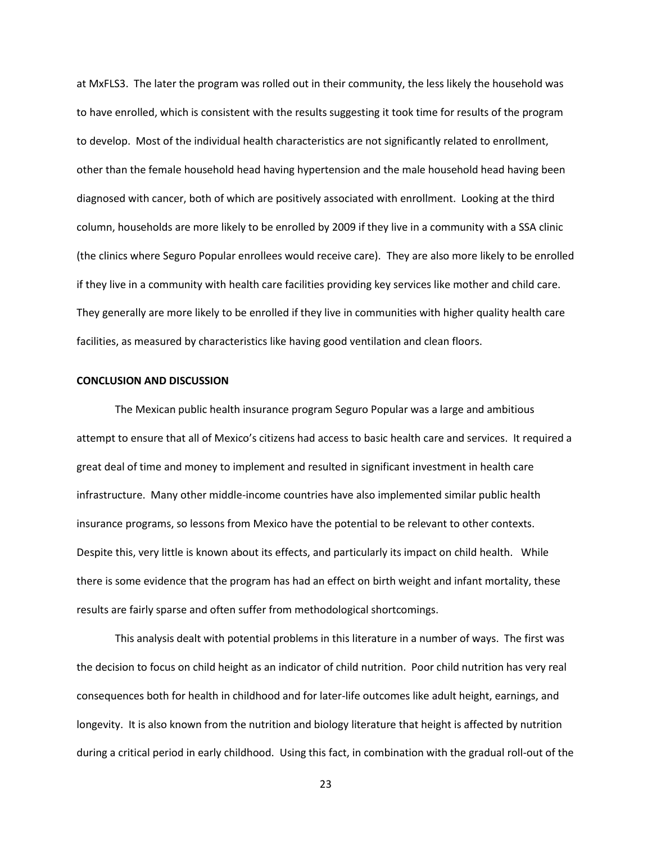at MxFLS3. The later the program was rolled out in their community, the less likely the household was to have enrolled, which is consistent with the results suggesting it took time for results of the program to develop. Most of the individual health characteristics are not significantly related to enrollment, other than the female household head having hypertension and the male household head having been diagnosed with cancer, both of which are positively associated with enrollment. Looking at the third column, households are more likely to be enrolled by 2009 if they live in a community with a SSA clinic (the clinics where Seguro Popular enrollees would receive care). They are also more likely to be enrolled if they live in a community with health care facilities providing key services like mother and child care. They generally are more likely to be enrolled if they live in communities with higher quality health care facilities, as measured by characteristics like having good ventilation and clean floors.

#### **CONCLUSION AND DISCUSSION**

The Mexican public health insurance program Seguro Popular was a large and ambitious attempt to ensure that all of Mexico's citizens had access to basic health care and services. It required a great deal of time and money to implement and resulted in significant investment in health care infrastructure. Many other middle-income countries have also implemented similar public health insurance programs, so lessons from Mexico have the potential to be relevant to other contexts. Despite this, very little is known about its effects, and particularly its impact on child health. While there is some evidence that the program has had an effect on birth weight and infant mortality, these results are fairly sparse and often suffer from methodological shortcomings.

This analysis dealt with potential problems in this literature in a number of ways. The first was the decision to focus on child height as an indicator of child nutrition. Poor child nutrition has very real consequences both for health in childhood and for later-life outcomes like adult height, earnings, and longevity. It is also known from the nutrition and biology literature that height is affected by nutrition during a critical period in early childhood. Using this fact, in combination with the gradual roll-out of the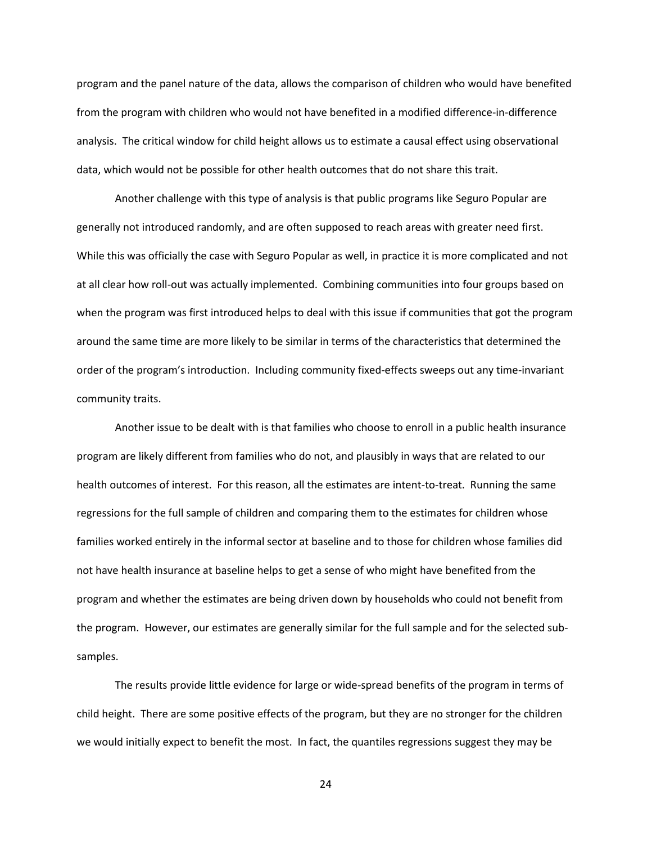program and the panel nature of the data, allows the comparison of children who would have benefited from the program with children who would not have benefited in a modified difference-in-difference analysis. The critical window for child height allows us to estimate a causal effect using observational data, which would not be possible for other health outcomes that do not share this trait.

Another challenge with this type of analysis is that public programs like Seguro Popular are generally not introduced randomly, and are often supposed to reach areas with greater need first. While this was officially the case with Seguro Popular as well, in practice it is more complicated and not at all clear how roll-out was actually implemented. Combining communities into four groups based on when the program was first introduced helps to deal with this issue if communities that got the program around the same time are more likely to be similar in terms of the characteristics that determined the order of the program's introduction. Including community fixed-effects sweeps out any time-invariant community traits.

Another issue to be dealt with is that families who choose to enroll in a public health insurance program are likely different from families who do not, and plausibly in ways that are related to our health outcomes of interest. For this reason, all the estimates are intent-to-treat. Running the same regressions for the full sample of children and comparing them to the estimates for children whose families worked entirely in the informal sector at baseline and to those for children whose families did not have health insurance at baseline helps to get a sense of who might have benefited from the program and whether the estimates are being driven down by households who could not benefit from the program. However, our estimates are generally similar for the full sample and for the selected subsamples.

The results provide little evidence for large or wide-spread benefits of the program in terms of child height. There are some positive effects of the program, but they are no stronger for the children we would initially expect to benefit the most. In fact, the quantiles regressions suggest they may be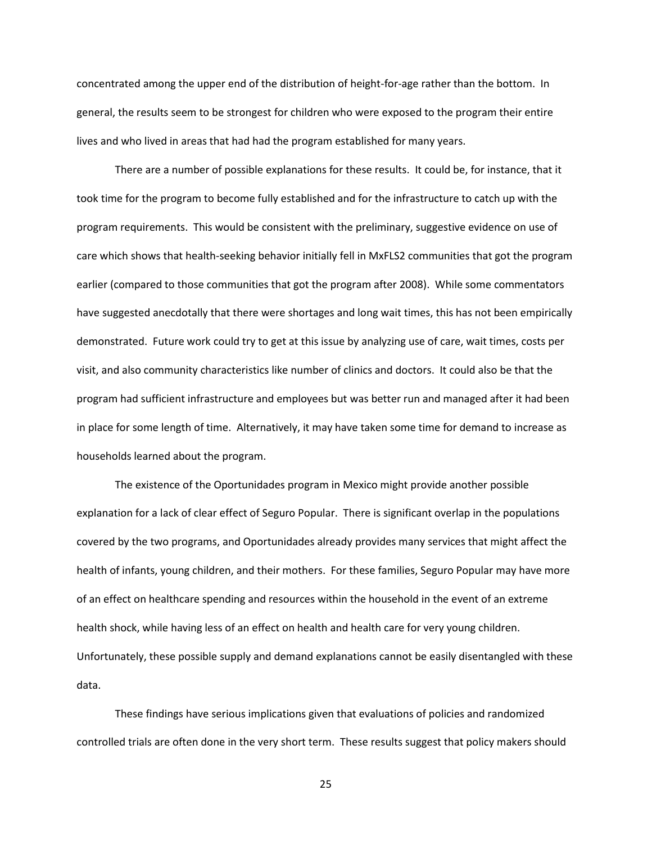concentrated among the upper end of the distribution of height-for-age rather than the bottom. In general, the results seem to be strongest for children who were exposed to the program their entire lives and who lived in areas that had had the program established for many years.

There are a number of possible explanations for these results. It could be, for instance, that it took time for the program to become fully established and for the infrastructure to catch up with the program requirements. This would be consistent with the preliminary, suggestive evidence on use of care which shows that health-seeking behavior initially fell in MxFLS2 communities that got the program earlier (compared to those communities that got the program after 2008). While some commentators have suggested anecdotally that there were shortages and long wait times, this has not been empirically demonstrated. Future work could try to get at this issue by analyzing use of care, wait times, costs per visit, and also community characteristics like number of clinics and doctors. It could also be that the program had sufficient infrastructure and employees but was better run and managed after it had been in place for some length of time. Alternatively, it may have taken some time for demand to increase as households learned about the program.

The existence of the Oportunidades program in Mexico might provide another possible explanation for a lack of clear effect of Seguro Popular. There is significant overlap in the populations covered by the two programs, and Oportunidades already provides many services that might affect the health of infants, young children, and their mothers. For these families, Seguro Popular may have more of an effect on healthcare spending and resources within the household in the event of an extreme health shock, while having less of an effect on health and health care for very young children. Unfortunately, these possible supply and demand explanations cannot be easily disentangled with these data.

These findings have serious implications given that evaluations of policies and randomized controlled trials are often done in the very short term. These results suggest that policy makers should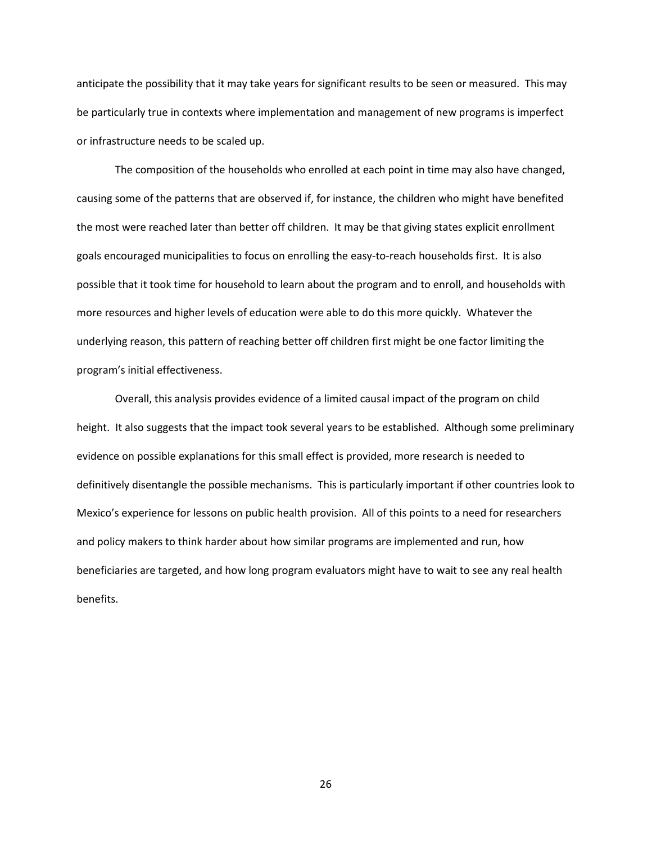anticipate the possibility that it may take years for significant results to be seen or measured. This may be particularly true in contexts where implementation and management of new programs is imperfect or infrastructure needs to be scaled up.

The composition of the households who enrolled at each point in time may also have changed, causing some of the patterns that are observed if, for instance, the children who might have benefited the most were reached later than better off children. It may be that giving states explicit enrollment goals encouraged municipalities to focus on enrolling the easy-to-reach households first. It is also possible that it took time for household to learn about the program and to enroll, and households with more resources and higher levels of education were able to do this more quickly. Whatever the underlying reason, this pattern of reaching better off children first might be one factor limiting the program's initial effectiveness.

Overall, this analysis provides evidence of a limited causal impact of the program on child height. It also suggests that the impact took several years to be established. Although some preliminary evidence on possible explanations for this small effect is provided, more research is needed to definitively disentangle the possible mechanisms. This is particularly important if other countries look to Mexico's experience for lessons on public health provision. All of this points to a need for researchers and policy makers to think harder about how similar programs are implemented and run, how beneficiaries are targeted, and how long program evaluators might have to wait to see any real health benefits.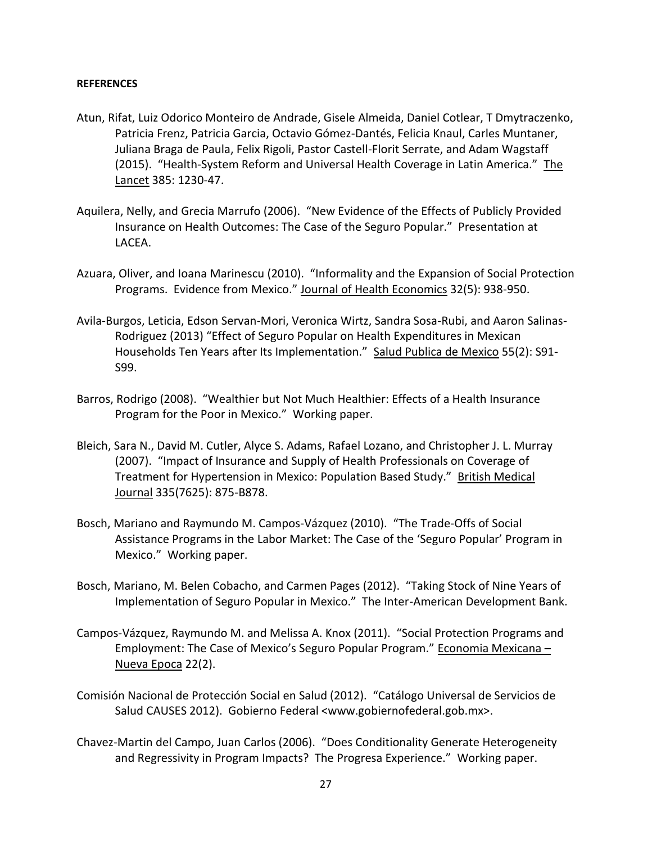### **REFERENCES**

- Atun, Rifat, Luiz Odorico Monteiro de Andrade, Gisele Almeida, Daniel Cotlear, T Dmytraczenko, Patricia Frenz, Patricia Garcia, Octavio Gómez-Dantés, Felicia Knaul, Carles Muntaner, Juliana Braga de Paula, Felix Rigoli, Pastor Castell-Florit Serrate, and Adam Wagstaff (2015). "Health-System Reform and Universal Health Coverage in Latin America." The Lancet 385: 1230-47.
- Aquilera, Nelly, and Grecia Marrufo (2006). "New Evidence of the Effects of Publicly Provided Insurance on Health Outcomes: The Case of the Seguro Popular." Presentation at LACEA.
- Azuara, Oliver, and Ioana Marinescu (2010). "Informality and the Expansion of Social Protection Programs. Evidence from Mexico." Journal of Health Economics 32(5): 938-950.
- Avila-Burgos, Leticia, Edson Servan-Mori, Veronica Wirtz, Sandra Sosa-Rubi, and Aaron Salinas-Rodriguez (2013) "Effect of Seguro Popular on Health Expenditures in Mexican Households Ten Years after Its Implementation." Salud Publica de Mexico 55(2): S91- S99.
- Barros, Rodrigo (2008). "Wealthier but Not Much Healthier: Effects of a Health Insurance Program for the Poor in Mexico." Working paper.
- Bleich, Sara N., David M. Cutler, Alyce S. Adams, Rafael Lozano, and Christopher J. L. Murray (2007). "Impact of Insurance and Supply of Health Professionals on Coverage of Treatment for Hypertension in Mexico: Population Based Study." British Medical Journal 335(7625): 875-B878.
- Bosch, Mariano and Raymundo M. Campos-Vázquez (2010). "The Trade-Offs of Social Assistance Programs in the Labor Market: The Case of the 'Seguro Popular' Program in Mexico." Working paper.
- Bosch, Mariano, M. Belen Cobacho, and Carmen Pages (2012). "Taking Stock of Nine Years of Implementation of Seguro Popular in Mexico." The Inter-American Development Bank.
- Campos-Vázquez, Raymundo M. and Melissa A. Knox (2011). "Social Protection Programs and Employment: The Case of Mexico's Seguro Popular Program." Economia Mexicana – Nueva Epoca 22(2).
- Comisión Nacional de Protección Social en Salud (2012). "Catálogo Universal de Servicios de Salud CAUSES 2012). Gobierno Federal <www.gobiernofederal.gob.mx>.
- Chavez-Martin del Campo, Juan Carlos (2006). "Does Conditionality Generate Heterogeneity and Regressivity in Program Impacts? The Progresa Experience." Working paper.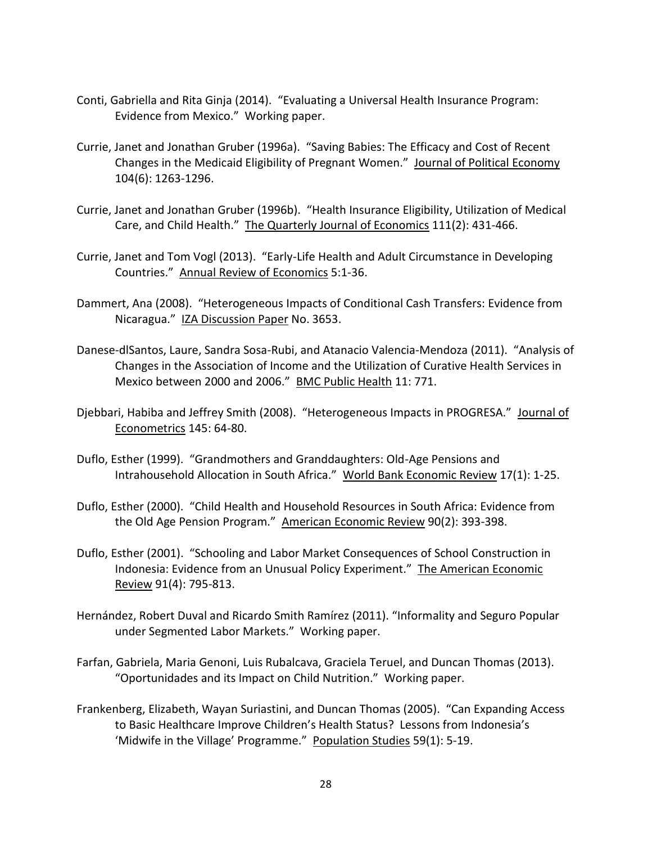- Conti, Gabriella and Rita Ginja (2014). "Evaluating a Universal Health Insurance Program: Evidence from Mexico." Working paper.
- Currie, Janet and Jonathan Gruber (1996a). "Saving Babies: The Efficacy and Cost of Recent Changes in the Medicaid Eligibility of Pregnant Women." Journal of Political Economy 104(6): 1263-1296.
- Currie, Janet and Jonathan Gruber (1996b). "Health Insurance Eligibility, Utilization of Medical Care, and Child Health." The Quarterly Journal of Economics 111(2): 431-466.
- Currie, Janet and Tom Vogl (2013). "Early-Life Health and Adult Circumstance in Developing Countries." Annual Review of Economics 5:1-36.
- Dammert, Ana (2008). "Heterogeneous Impacts of Conditional Cash Transfers: Evidence from Nicaragua." IZA Discussion Paper No. 3653.
- Danese-dlSantos, Laure, Sandra Sosa-Rubi, and Atanacio Valencia-Mendoza (2011). "Analysis of Changes in the Association of Income and the Utilization of Curative Health Services in Mexico between 2000 and 2006." BMC Public Health 11: 771.
- Djebbari, Habiba and Jeffrey Smith (2008). "Heterogeneous Impacts in PROGRESA." Journal of Econometrics 145: 64-80.
- Duflo, Esther (1999). "Grandmothers and Granddaughters: Old-Age Pensions and Intrahousehold Allocation in South Africa." World Bank Economic Review 17(1): 1-25.
- Duflo, Esther (2000). "Child Health and Household Resources in South Africa: Evidence from the Old Age Pension Program." American Economic Review 90(2): 393-398.
- Duflo, Esther (2001). "Schooling and Labor Market Consequences of School Construction in Indonesia: Evidence from an Unusual Policy Experiment." The American Economic Review 91(4): 795-813.
- Hernández, Robert Duval and Ricardo Smith Ramírez (2011). "Informality and Seguro Popular under Segmented Labor Markets." Working paper.
- Farfan, Gabriela, Maria Genoni, Luis Rubalcava, Graciela Teruel, and Duncan Thomas (2013). "Oportunidades and its Impact on Child Nutrition." Working paper.
- Frankenberg, Elizabeth, Wayan Suriastini, and Duncan Thomas (2005). "Can Expanding Access to Basic Healthcare Improve Children's Health Status? Lessons from Indonesia's 'Midwife in the Village' Programme." Population Studies 59(1): 5-19.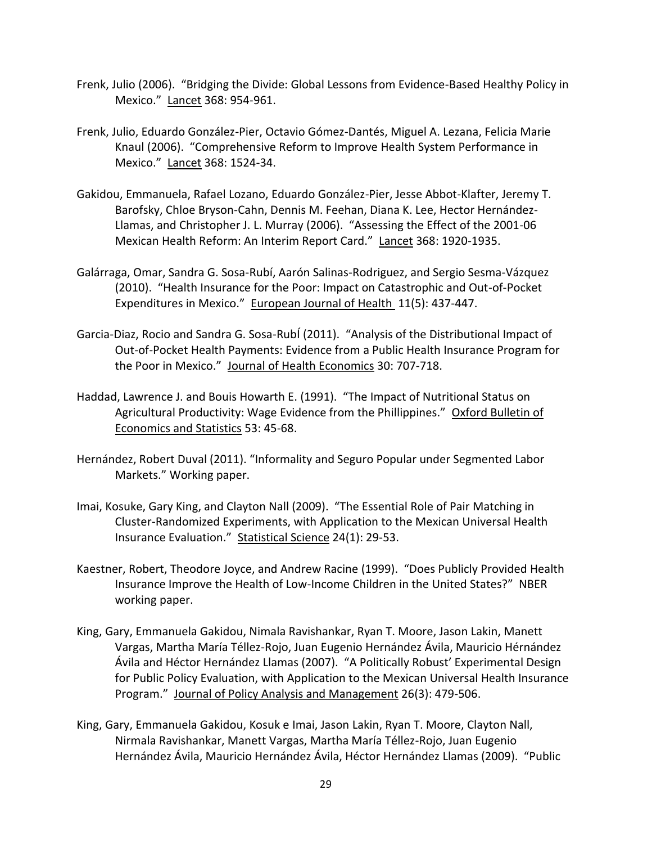- Frenk, Julio (2006). "Bridging the Divide: Global Lessons from Evidence-Based Healthy Policy in Mexico." Lancet 368: 954-961.
- Frenk, Julio, Eduardo González-Pier, Octavio Gómez-Dantés, Miguel A. Lezana, Felicia Marie Knaul (2006). "Comprehensive Reform to Improve Health System Performance in Mexico." Lancet 368: 1524-34.
- Gakidou, Emmanuela, Rafael Lozano, Eduardo González-Pier, Jesse Abbot-Klafter, Jeremy T. Barofsky, Chloe Bryson-Cahn, Dennis M. Feehan, Diana K. Lee, Hector Hernández-Llamas, and Christopher J. L. Murray (2006). "Assessing the Effect of the 2001-06 Mexican Health Reform: An Interim Report Card." Lancet 368: 1920-1935.
- Galárraga, Omar, Sandra G. Sosa-Rubí, Aarón Salinas-Rodriguez, and Sergio Sesma-Vázquez (2010). "Health Insurance for the Poor: Impact on Catastrophic and Out-of-Pocket Expenditures in Mexico." European Journal of Health 11(5): 437-447.
- Garcia-Diaz, Rocio and Sandra G. Sosa-RubÍ (2011). "Analysis of the Distributional Impact of Out-of-Pocket Health Payments: Evidence from a Public Health Insurance Program for the Poor in Mexico." Journal of Health Economics 30: 707-718.
- Haddad, Lawrence J. and Bouis Howarth E. (1991). "The Impact of Nutritional Status on Agricultural Productivity: Wage Evidence from the Phillippines." Oxford Bulletin of Economics and Statistics 53: 45-68.
- Hernández, Robert Duval (2011). "Informality and Seguro Popular under Segmented Labor Markets." Working paper.
- Imai, Kosuke, Gary King, and Clayton Nall (2009). "The Essential Role of Pair Matching in Cluster-Randomized Experiments, with Application to the Mexican Universal Health Insurance Evaluation." Statistical Science 24(1): 29-53.
- Kaestner, Robert, Theodore Joyce, and Andrew Racine (1999). "Does Publicly Provided Health Insurance Improve the Health of Low-Income Children in the United States?" NBER working paper.
- King, Gary, Emmanuela Gakidou, Nimala Ravishankar, Ryan T. Moore, Jason Lakin, Manett Vargas, Martha María Téllez-Rojo, Juan Eugenio Hernández Ávila, Mauricio Hérnández Ávila and Héctor Hernández Llamas (2007). "A Politically Robust' Experimental Design for Public Policy Evaluation, with Application to the Mexican Universal Health Insurance Program." Journal of Policy Analysis and Management 26(3): 479-506.
- King, Gary, Emmanuela Gakidou, Kosuk e Imai, Jason Lakin, Ryan T. Moore, Clayton Nall, Nirmala Ravishankar, Manett Vargas, Martha María Téllez-Rojo, Juan Eugenio Hernández Ávila, Mauricio Hernández Ávila, Héctor Hernández Llamas (2009). "Public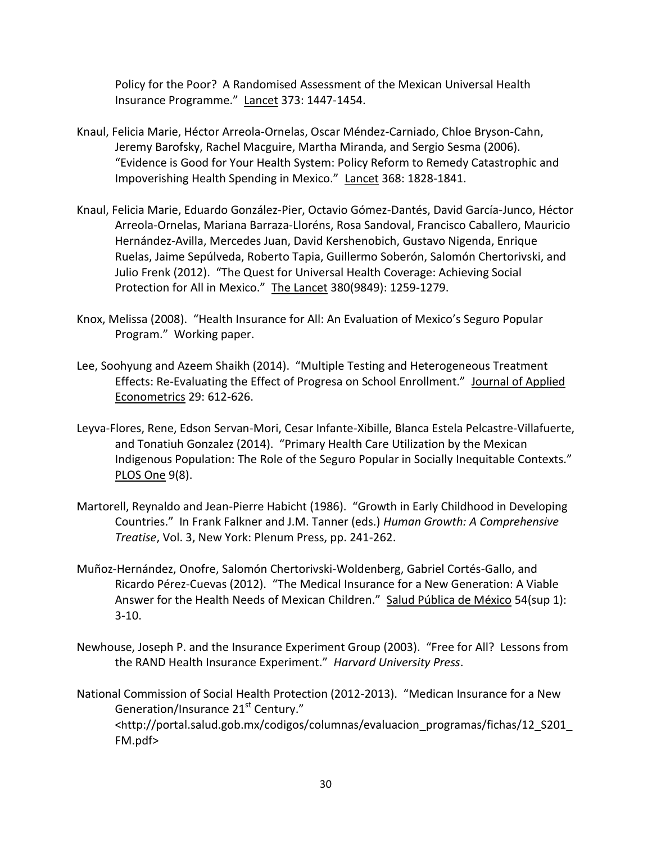Policy for the Poor? A Randomised Assessment of the Mexican Universal Health Insurance Programme." Lancet 373: 1447-1454.

- Knaul, Felicia Marie, Héctor Arreola-Ornelas, Oscar Méndez-Carniado, Chloe Bryson-Cahn, Jeremy Barofsky, Rachel Macguire, Martha Miranda, and Sergio Sesma (2006). "Evidence is Good for Your Health System: Policy Reform to Remedy Catastrophic and Impoverishing Health Spending in Mexico." Lancet 368: 1828-1841.
- Knaul, Felicia Marie, Eduardo González-Pier, Octavio Gómez-Dantés, David García-Junco, Héctor Arreola-Ornelas, Mariana Barraza-Lloréns, Rosa Sandoval, Francisco Caballero, Mauricio Hernández-Avilla, Mercedes Juan, David Kershenobich, Gustavo Nigenda, Enrique Ruelas, Jaime Sepúlveda, Roberto Tapia, Guillermo Soberón, Salomón Chertorivski, and Julio Frenk (2012). "The Quest for Universal Health Coverage: Achieving Social Protection for All in Mexico." The Lancet 380(9849): 1259-1279.
- Knox, Melissa (2008). "Health Insurance for All: An Evaluation of Mexico's Seguro Popular Program." Working paper.
- Lee, Soohyung and Azeem Shaikh (2014). "Multiple Testing and Heterogeneous Treatment Effects: Re-Evaluating the Effect of Progresa on School Enrollment." Journal of Applied Econometrics 29: 612-626.
- Leyva-Flores, Rene, Edson Servan-Mori, Cesar Infante-Xibille, Blanca Estela Pelcastre-Villafuerte, and Tonatiuh Gonzalez (2014). "Primary Health Care Utilization by the Mexican Indigenous Population: The Role of the Seguro Popular in Socially Inequitable Contexts." PLOS One 9(8).
- Martorell, Reynaldo and Jean-Pierre Habicht (1986). "Growth in Early Childhood in Developing Countries." In Frank Falkner and J.M. Tanner (eds.) *Human Growth: A Comprehensive Treatise*, Vol. 3, New York: Plenum Press, pp. 241-262.
- Muñoz-Hernández, Onofre, Salomón Chertorivski-Woldenberg, Gabriel Cortés-Gallo, and Ricardo Pérez-Cuevas (2012). "The Medical Insurance for a New Generation: A Viable Answer for the Health Needs of Mexican Children." Salud Pública de México 54(sup 1): 3-10.
- Newhouse, Joseph P. and the Insurance Experiment Group (2003). "Free for All? Lessons from the RAND Health Insurance Experiment." *Harvard University Press*.

National Commission of Social Health Protection (2012-2013). "Medican Insurance for a New Generation/Insurance 21<sup>st</sup> Century." <http://portal.salud.gob.mx/codigos/columnas/evaluacion\_programas/fichas/12\_S201\_ FM.pdf>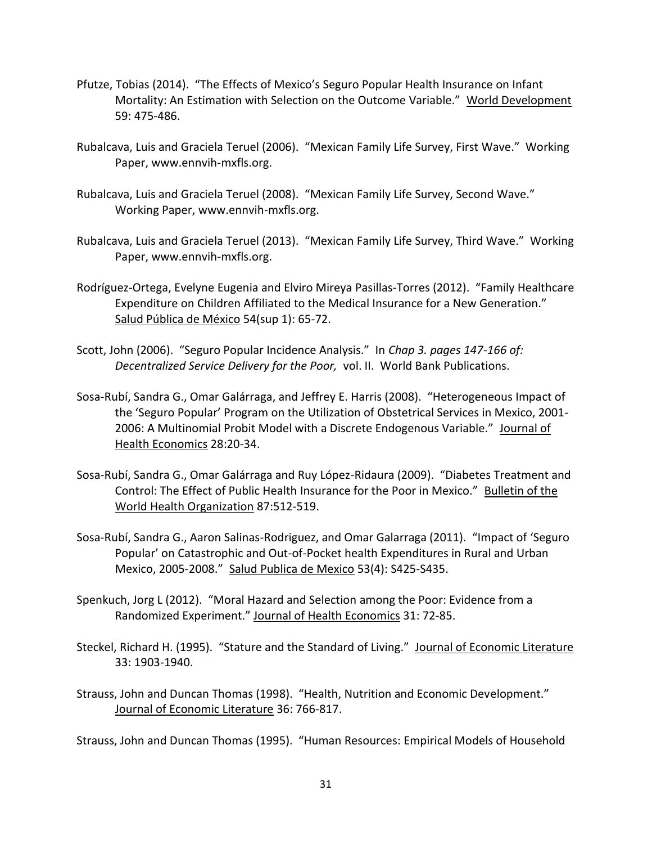- Pfutze, Tobias (2014). "The Effects of Mexico's Seguro Popular Health Insurance on Infant Mortality: An Estimation with Selection on the Outcome Variable." World Development 59: 475-486.
- Rubalcava, Luis and Graciela Teruel (2006). "Mexican Family Life Survey, First Wave." Working Paper, www.ennvih-mxfls.org.
- Rubalcava, Luis and Graciela Teruel (2008). "Mexican Family Life Survey, Second Wave." Working Paper, www.ennvih-mxfls.org.
- Rubalcava, Luis and Graciela Teruel (2013). "Mexican Family Life Survey, Third Wave." Working Paper, www.ennvih-mxfls.org.
- Rodríguez-Ortega, Evelyne Eugenia and Elviro Mireya Pasillas-Torres (2012). "Family Healthcare Expenditure on Children Affiliated to the Medical Insurance for a New Generation." Salud Pública de México 54(sup 1): 65-72.
- Scott, John (2006). "Seguro Popular Incidence Analysis." In *Chap 3. pages 147-166 of: Decentralized Service Delivery for the Poor,* vol. II. World Bank Publications.
- Sosa-Rubí, Sandra G., Omar Galárraga, and Jeffrey E. Harris (2008). "Heterogeneous Impact of the 'Seguro Popular' Program on the Utilization of Obstetrical Services in Mexico, 2001- 2006: A Multinomial Probit Model with a Discrete Endogenous Variable." Journal of Health Economics 28:20-34.
- Sosa-Rubí, Sandra G., Omar Galárraga and Ruy López-Ridaura (2009). "Diabetes Treatment and Control: The Effect of Public Health Insurance for the Poor in Mexico." Bulletin of the World Health Organization 87:512-519.
- Sosa-Rubí, Sandra G., Aaron Salinas-Rodriguez, and Omar Galarraga (2011). "Impact of 'Seguro Popular' on Catastrophic and Out-of-Pocket health Expenditures in Rural and Urban Mexico, 2005-2008." Salud Publica de Mexico 53(4): S425-S435.
- Spenkuch, Jorg L (2012). "Moral Hazard and Selection among the Poor: Evidence from a Randomized Experiment." Journal of Health Economics 31: 72-85.
- Steckel, Richard H. (1995). "Stature and the Standard of Living." Journal of Economic Literature 33: 1903-1940.
- Strauss, John and Duncan Thomas (1998). "Health, Nutrition and Economic Development." Journal of Economic Literature 36: 766-817.

Strauss, John and Duncan Thomas (1995). "Human Resources: Empirical Models of Household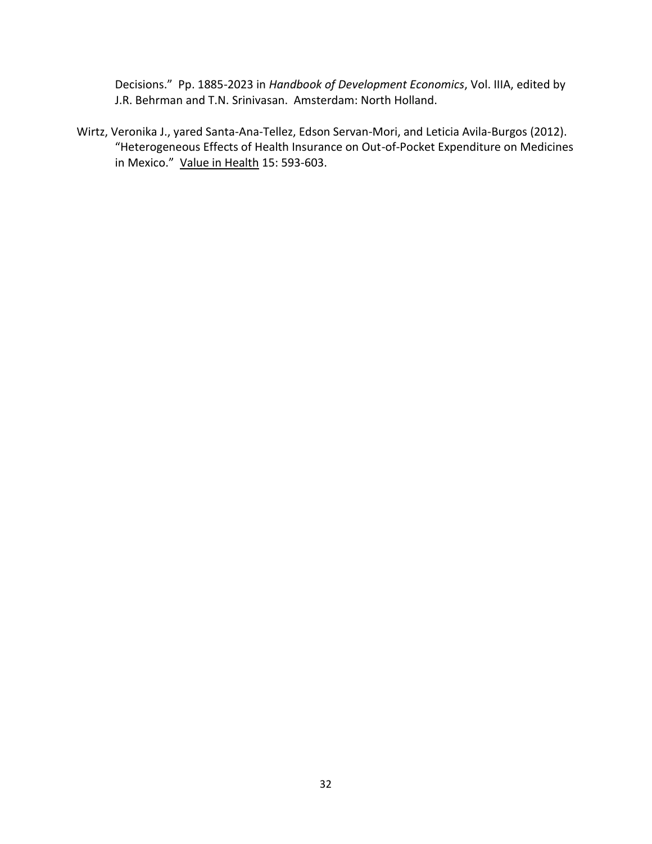Decisions." Pp. 1885-2023 in *Handbook of Development Economics*, Vol. IIIA, edited by J.R. Behrman and T.N. Srinivasan. Amsterdam: North Holland.

Wirtz, Veronika J., yared Santa-Ana-Tellez, Edson Servan-Mori, and Leticia Avila-Burgos (2012). "Heterogeneous Effects of Health Insurance on Out-of-Pocket Expenditure on Medicines in Mexico." Value in Health 15: 593-603.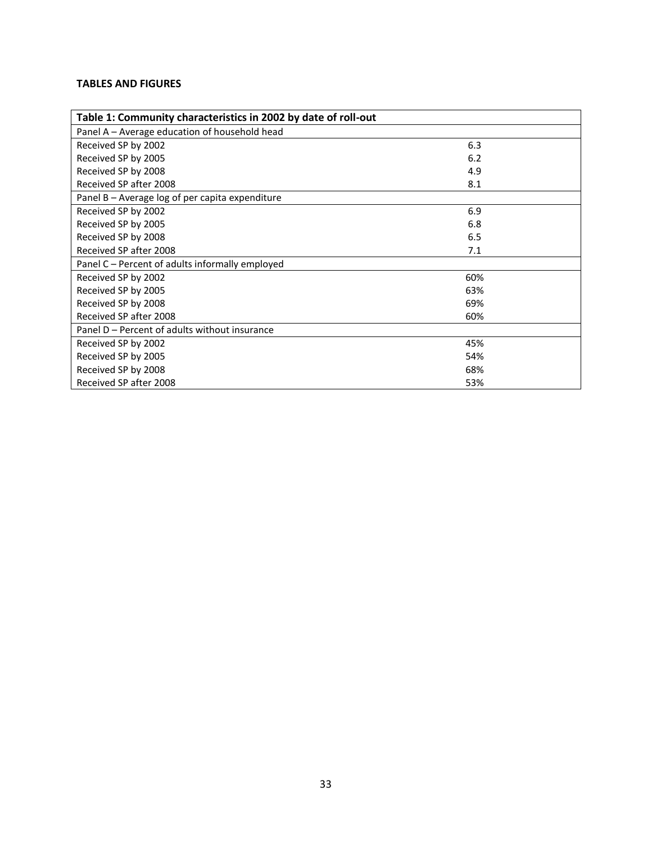## **TABLES AND FIGURES**

| Table 1: Community characteristics in 2002 by date of roll-out |     |  |  |  |
|----------------------------------------------------------------|-----|--|--|--|
| Panel A - Average education of household head                  |     |  |  |  |
| Received SP by 2002                                            | 6.3 |  |  |  |
| Received SP by 2005                                            | 6.2 |  |  |  |
| Received SP by 2008                                            | 4.9 |  |  |  |
| Received SP after 2008                                         | 8.1 |  |  |  |
| Panel B - Average log of per capita expenditure                |     |  |  |  |
| Received SP by 2002                                            | 6.9 |  |  |  |
| Received SP by 2005                                            | 6.8 |  |  |  |
| Received SP by 2008                                            | 6.5 |  |  |  |
| Received SP after 2008                                         | 7.1 |  |  |  |
| Panel C – Percent of adults informally employed                |     |  |  |  |
| Received SP by 2002                                            | 60% |  |  |  |
| Received SP by 2005                                            | 63% |  |  |  |
| Received SP by 2008                                            | 69% |  |  |  |
| Received SP after 2008                                         | 60% |  |  |  |
| Panel D – Percent of adults without insurance                  |     |  |  |  |
| Received SP by 2002                                            | 45% |  |  |  |
| Received SP by 2005                                            | 54% |  |  |  |
| Received SP by 2008                                            | 68% |  |  |  |
| Received SP after 2008                                         | 53% |  |  |  |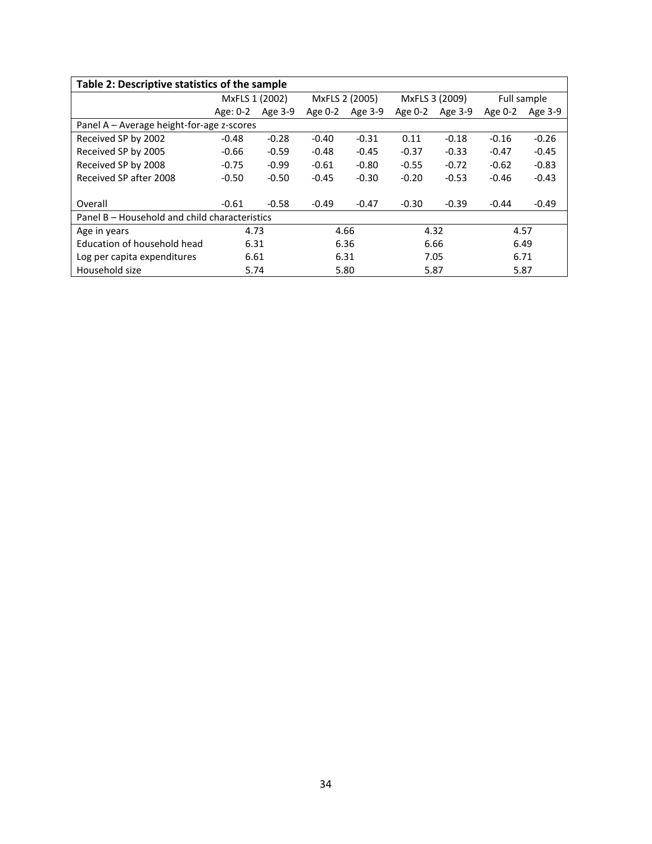| Table 2: Descriptive statistics of the sample |                |         |                |         |                |         |             |         |
|-----------------------------------------------|----------------|---------|----------------|---------|----------------|---------|-------------|---------|
|                                               | MxFLS 1 (2002) |         | MxFLS 2 (2005) |         | MxFLS 3 (2009) |         | Full sample |         |
|                                               | Age: 0-2       | Age 3-9 | Age 0-2        | Age 3-9 | Age $0-2$      | Age 3-9 | Age 0-2     | Age 3-9 |
| Panel A - Average height-for-age z-scores     |                |         |                |         |                |         |             |         |
| Received SP by 2002                           | $-0.48$        | $-0.28$ | $-0.40$        | $-0.31$ | 0.11           | $-0.18$ | $-0.16$     | $-0.26$ |
| Received SP by 2005                           | $-0.66$        | $-0.59$ | $-0.48$        | $-0.45$ | $-0.37$        | $-0.33$ | $-0.47$     | $-0.45$ |
| Received SP by 2008                           | $-0.75$        | $-0.99$ | $-0.61$        | $-0.80$ | $-0.55$        | $-0.72$ | $-0.62$     | $-0.83$ |
| Received SP after 2008                        | $-0.50$        | $-0.50$ | $-0.45$        | $-0.30$ | $-0.20$        | $-0.53$ | $-0.46$     | $-0.43$ |
|                                               |                |         |                |         |                |         |             |         |
| Overall                                       | $-0.61$        | $-0.58$ | $-0.49$        | $-0.47$ | $-0.30$        | $-0.39$ | $-0.44$     | $-0.49$ |
| Panel B – Household and child characteristics |                |         |                |         |                |         |             |         |
| Age in years                                  | 4.73           |         | 4.66           |         | 4.32           |         | 4.57        |         |
| Education of household head                   | 6.31           |         |                | 6.36    |                | 6.66    |             | 6.49    |
| Log per capita expenditures                   | 6.61           |         | 6.31           |         | 7.05           |         | 6.71        |         |
| Household size                                | 5.74           |         | 5.80           |         | 5.87           |         | 5.87        |         |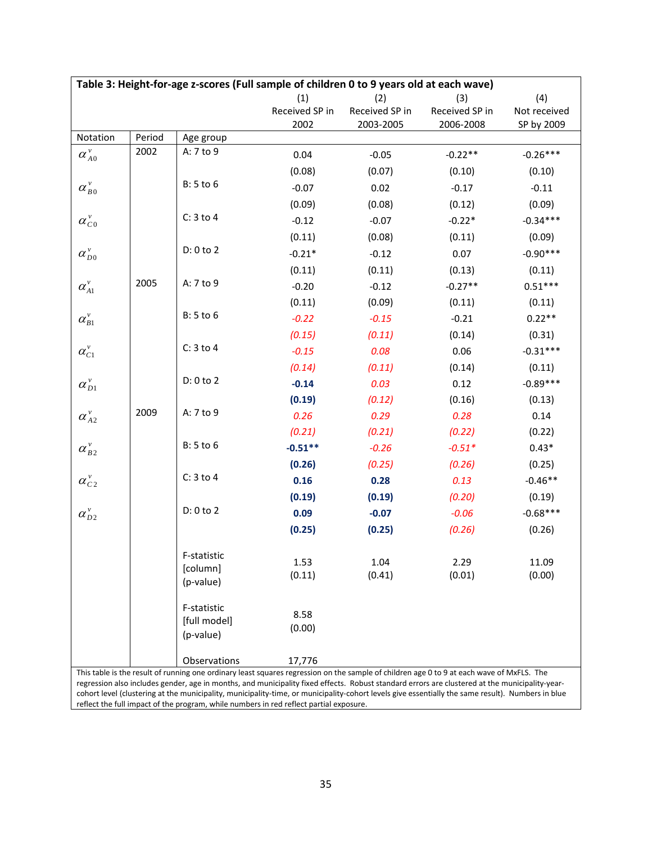| (4)<br>(1)<br>(2)<br>(3)<br>Received SP in<br>Received SP in<br>Received SP in<br>Not received<br>2002<br>2003-2005<br>2006-2008<br>SP by 2009<br>Notation<br>Period<br>Age group<br>2002<br>A: 7 to 9<br>$\alpha_{A0}^v$<br>$-0.26***$<br>0.04<br>$-0.05$<br>$-0.22**$<br>(0.08)<br>(0.07)<br>(0.10)<br>(0.10)<br>B: 5 to 6<br>$\alpha_{B0}^v$<br>$-0.07$<br>0.02<br>$-0.17$<br>$-0.11$<br>(0.09)<br>(0.09)<br>(0.08)<br>(0.12)<br>$C: 3$ to 4<br>$\alpha_{C}^{\nu}$<br>$-0.34***$<br>$-0.12$<br>$-0.22*$<br>$-0.07$<br>(0.11)<br>(0.08)<br>(0.11)<br>(0.09)<br>D: 0 to 2<br>$\alpha_{D0}^{\nu}$<br>$-0.90***$<br>$-0.21*$<br>0.07<br>$-0.12$<br>(0.11)<br>(0.11)<br>(0.13)<br>(0.11)<br>2005<br>A: 7 to 9<br>$\alpha_{A1}^v$<br>$0.51***$<br>$-0.20$<br>$-0.12$<br>$-0.27**$ |  |  |  |  |  |
|--------------------------------------------------------------------------------------------------------------------------------------------------------------------------------------------------------------------------------------------------------------------------------------------------------------------------------------------------------------------------------------------------------------------------------------------------------------------------------------------------------------------------------------------------------------------------------------------------------------------------------------------------------------------------------------------------------------------------------------------------------------------------------|--|--|--|--|--|
|                                                                                                                                                                                                                                                                                                                                                                                                                                                                                                                                                                                                                                                                                                                                                                                |  |  |  |  |  |
|                                                                                                                                                                                                                                                                                                                                                                                                                                                                                                                                                                                                                                                                                                                                                                                |  |  |  |  |  |
|                                                                                                                                                                                                                                                                                                                                                                                                                                                                                                                                                                                                                                                                                                                                                                                |  |  |  |  |  |
|                                                                                                                                                                                                                                                                                                                                                                                                                                                                                                                                                                                                                                                                                                                                                                                |  |  |  |  |  |
|                                                                                                                                                                                                                                                                                                                                                                                                                                                                                                                                                                                                                                                                                                                                                                                |  |  |  |  |  |
|                                                                                                                                                                                                                                                                                                                                                                                                                                                                                                                                                                                                                                                                                                                                                                                |  |  |  |  |  |
|                                                                                                                                                                                                                                                                                                                                                                                                                                                                                                                                                                                                                                                                                                                                                                                |  |  |  |  |  |
|                                                                                                                                                                                                                                                                                                                                                                                                                                                                                                                                                                                                                                                                                                                                                                                |  |  |  |  |  |
|                                                                                                                                                                                                                                                                                                                                                                                                                                                                                                                                                                                                                                                                                                                                                                                |  |  |  |  |  |
|                                                                                                                                                                                                                                                                                                                                                                                                                                                                                                                                                                                                                                                                                                                                                                                |  |  |  |  |  |
|                                                                                                                                                                                                                                                                                                                                                                                                                                                                                                                                                                                                                                                                                                                                                                                |  |  |  |  |  |
|                                                                                                                                                                                                                                                                                                                                                                                                                                                                                                                                                                                                                                                                                                                                                                                |  |  |  |  |  |
|                                                                                                                                                                                                                                                                                                                                                                                                                                                                                                                                                                                                                                                                                                                                                                                |  |  |  |  |  |
| (0.11)<br>(0.09)<br>(0.11)<br>(0.11)                                                                                                                                                                                                                                                                                                                                                                                                                                                                                                                                                                                                                                                                                                                                           |  |  |  |  |  |
| B: 5 to 6<br>$\alpha_{\scriptscriptstyle{B1}}^{\scriptscriptstyle{V}}$<br>$0.22**$<br>$-0.22$<br>$-0.15$<br>$-0.21$                                                                                                                                                                                                                                                                                                                                                                                                                                                                                                                                                                                                                                                            |  |  |  |  |  |
| (0.15)<br>(0.14)<br>(0.11)<br>(0.31)                                                                                                                                                                                                                                                                                                                                                                                                                                                                                                                                                                                                                                                                                                                                           |  |  |  |  |  |
| $C: 3$ to 4<br>$\alpha_{C1}^v$<br>0.08<br>0.06<br>$-0.31***$<br>$-0.15$                                                                                                                                                                                                                                                                                                                                                                                                                                                                                                                                                                                                                                                                                                        |  |  |  |  |  |
| (0.14)<br>(0.11)<br>(0.14)<br>(0.11)                                                                                                                                                                                                                                                                                                                                                                                                                                                                                                                                                                                                                                                                                                                                           |  |  |  |  |  |
| D: 0 to 2<br>$-0.89***$<br>$\alpha_{D1}^{\nu}$<br>$-0.14$<br>0.03<br>0.12                                                                                                                                                                                                                                                                                                                                                                                                                                                                                                                                                                                                                                                                                                      |  |  |  |  |  |
| (0.19)<br>(0.16)<br>(0.13)<br>(0.12)                                                                                                                                                                                                                                                                                                                                                                                                                                                                                                                                                                                                                                                                                                                                           |  |  |  |  |  |
| 2009<br>A: 7 to 9<br>$\alpha_{A2}^v$<br>0.26<br>0.14<br>0.29<br>0.28                                                                                                                                                                                                                                                                                                                                                                                                                                                                                                                                                                                                                                                                                                           |  |  |  |  |  |
| (0.21)<br>(0.21)<br>(0.22)<br>(0.22)                                                                                                                                                                                                                                                                                                                                                                                                                                                                                                                                                                                                                                                                                                                                           |  |  |  |  |  |
| B: 5 to 6<br>$\alpha_{B2}^v$<br>$-0.51**$<br>$-0.26$<br>$0.43*$<br>$-0.51*$                                                                                                                                                                                                                                                                                                                                                                                                                                                                                                                                                                                                                                                                                                    |  |  |  |  |  |
| (0.26)<br>(0.25)<br>(0.25)<br>(0.26)                                                                                                                                                                                                                                                                                                                                                                                                                                                                                                                                                                                                                                                                                                                                           |  |  |  |  |  |
| $C: 3$ to 4<br>$\alpha_{c_2}^v$<br>0.16<br>0.28<br>0.13<br>$-0.46**$                                                                                                                                                                                                                                                                                                                                                                                                                                                                                                                                                                                                                                                                                                           |  |  |  |  |  |
| $\alpha_{D2}^{\nu}$<br>(0.19)<br>(0.20)<br>(0.19)<br>(0.19)                                                                                                                                                                                                                                                                                                                                                                                                                                                                                                                                                                                                                                                                                                                    |  |  |  |  |  |
| D: 0 to 2<br>$-0.68***$<br>0.09<br>$-0.07$<br>$-0.06$                                                                                                                                                                                                                                                                                                                                                                                                                                                                                                                                                                                                                                                                                                                          |  |  |  |  |  |
| (0.25)<br>(0.26)<br>(0.25)<br>(0.26)                                                                                                                                                                                                                                                                                                                                                                                                                                                                                                                                                                                                                                                                                                                                           |  |  |  |  |  |
| F-statistic<br>1.53<br>1.04<br>11.09<br>2.29<br>[column]                                                                                                                                                                                                                                                                                                                                                                                                                                                                                                                                                                                                                                                                                                                       |  |  |  |  |  |
| (0.11)<br>(0.41)<br>(0.01)<br>(0.00)<br>(p-value)                                                                                                                                                                                                                                                                                                                                                                                                                                                                                                                                                                                                                                                                                                                              |  |  |  |  |  |
| F-statistic<br>8.58<br>[full model]<br>(0.00)<br>(p-value)                                                                                                                                                                                                                                                                                                                                                                                                                                                                                                                                                                                                                                                                                                                     |  |  |  |  |  |
| Observations<br>17,776                                                                                                                                                                                                                                                                                                                                                                                                                                                                                                                                                                                                                                                                                                                                                         |  |  |  |  |  |
| This table is the result of running one ordinary least squares regression on the sample of children age 0 to 9 at each wave of MxFLS. The<br>regression also includes gender, age in months, and municipality fixed effects. Robust standard errors are clustered at the municipality-year-                                                                                                                                                                                                                                                                                                                                                                                                                                                                                    |  |  |  |  |  |

cohort level (clustering at the municipality, municipality-time, or municipality-cohort levels give essentially the same result). Numbers in blue reflect the full impact of the program, while numbers in red reflect partial exposure.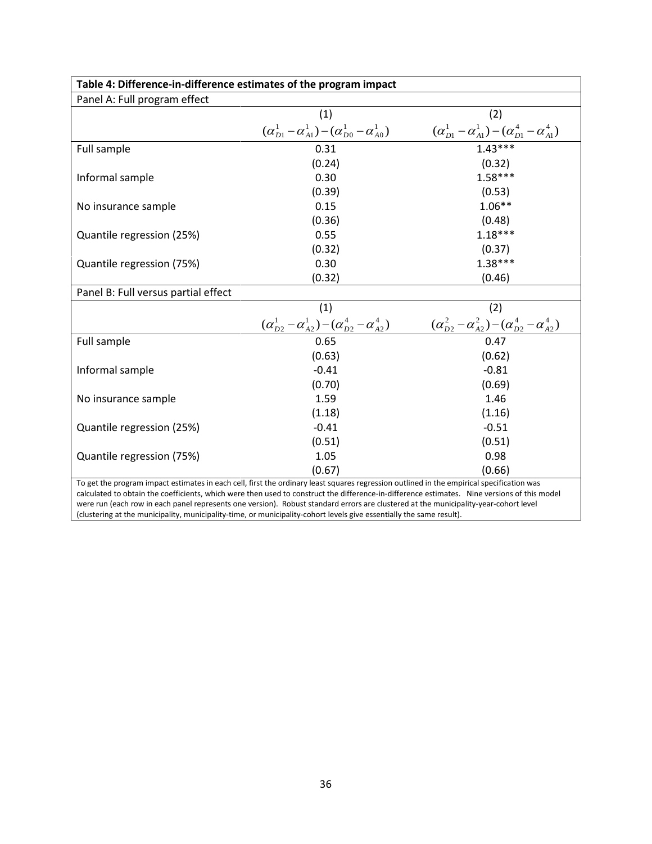| Table 4: Difference-in-difference estimates of the program impact                                                                                                                                                                                                                                                                                                                                                                                                                                                                                         |                                                                     |                                                                     |  |  |
|-----------------------------------------------------------------------------------------------------------------------------------------------------------------------------------------------------------------------------------------------------------------------------------------------------------------------------------------------------------------------------------------------------------------------------------------------------------------------------------------------------------------------------------------------------------|---------------------------------------------------------------------|---------------------------------------------------------------------|--|--|
| Panel A: Full program effect                                                                                                                                                                                                                                                                                                                                                                                                                                                                                                                              |                                                                     |                                                                     |  |  |
|                                                                                                                                                                                                                                                                                                                                                                                                                                                                                                                                                           | (1)                                                                 | (2)                                                                 |  |  |
|                                                                                                                                                                                                                                                                                                                                                                                                                                                                                                                                                           | $(\alpha_{D1}^1 - \alpha_{A1}^1) - (\alpha_{D0}^1 - \alpha_{A0}^1)$ | $(\alpha_{D1}^1 - \alpha_{A1}^1) - (\alpha_{D1}^4 - \alpha_{A1}^4)$ |  |  |
| Full sample                                                                                                                                                                                                                                                                                                                                                                                                                                                                                                                                               | 0.31                                                                | $1.43***$                                                           |  |  |
|                                                                                                                                                                                                                                                                                                                                                                                                                                                                                                                                                           | (0.24)                                                              | (0.32)                                                              |  |  |
| Informal sample                                                                                                                                                                                                                                                                                                                                                                                                                                                                                                                                           | 0.30                                                                | $1.58***$                                                           |  |  |
|                                                                                                                                                                                                                                                                                                                                                                                                                                                                                                                                                           | (0.39)                                                              | (0.53)                                                              |  |  |
| No insurance sample                                                                                                                                                                                                                                                                                                                                                                                                                                                                                                                                       | 0.15                                                                | $1.06**$                                                            |  |  |
|                                                                                                                                                                                                                                                                                                                                                                                                                                                                                                                                                           | (0.36)                                                              | (0.48)                                                              |  |  |
| Quantile regression (25%)                                                                                                                                                                                                                                                                                                                                                                                                                                                                                                                                 | 0.55                                                                | $1.18***$                                                           |  |  |
|                                                                                                                                                                                                                                                                                                                                                                                                                                                                                                                                                           | (0.32)                                                              | (0.37)                                                              |  |  |
| Quantile regression (75%)                                                                                                                                                                                                                                                                                                                                                                                                                                                                                                                                 | 0.30                                                                | $1.38***$                                                           |  |  |
|                                                                                                                                                                                                                                                                                                                                                                                                                                                                                                                                                           | (0.32)                                                              | (0.46)                                                              |  |  |
| Panel B: Full versus partial effect                                                                                                                                                                                                                                                                                                                                                                                                                                                                                                                       |                                                                     |                                                                     |  |  |
|                                                                                                                                                                                                                                                                                                                                                                                                                                                                                                                                                           | (1)                                                                 | (2)                                                                 |  |  |
|                                                                                                                                                                                                                                                                                                                                                                                                                                                                                                                                                           | $(\alpha_{D2}^1 - \alpha_{A2}^1) - (\alpha_{D2}^4 - \alpha_{A2}^4)$ | $(\alpha_{D2}^2 - \alpha_{A2}^2) - (\alpha_{D2}^4 - \alpha_{A2}^4)$ |  |  |
| Full sample                                                                                                                                                                                                                                                                                                                                                                                                                                                                                                                                               | 0.65                                                                | 0.47                                                                |  |  |
|                                                                                                                                                                                                                                                                                                                                                                                                                                                                                                                                                           | (0.63)                                                              | (0.62)                                                              |  |  |
| Informal sample                                                                                                                                                                                                                                                                                                                                                                                                                                                                                                                                           | $-0.41$                                                             | $-0.81$                                                             |  |  |
|                                                                                                                                                                                                                                                                                                                                                                                                                                                                                                                                                           | (0.70)                                                              | (0.69)                                                              |  |  |
| No insurance sample                                                                                                                                                                                                                                                                                                                                                                                                                                                                                                                                       | 1.59                                                                | 1.46                                                                |  |  |
|                                                                                                                                                                                                                                                                                                                                                                                                                                                                                                                                                           | (1.18)                                                              | (1.16)                                                              |  |  |
| Quantile regression (25%)                                                                                                                                                                                                                                                                                                                                                                                                                                                                                                                                 | $-0.41$                                                             | $-0.51$                                                             |  |  |
|                                                                                                                                                                                                                                                                                                                                                                                                                                                                                                                                                           | (0.51)                                                              | (0.51)                                                              |  |  |
| Quantile regression (75%)                                                                                                                                                                                                                                                                                                                                                                                                                                                                                                                                 | 1.05                                                                | 0.98                                                                |  |  |
|                                                                                                                                                                                                                                                                                                                                                                                                                                                                                                                                                           | (0.67)                                                              | (0.66)                                                              |  |  |
| To get the program impact estimates in each cell, first the ordinary least squares regression outlined in the empirical specification was<br>calculated to obtain the coefficients, which were then used to construct the difference-in-difference estimates. Nine versions of this model<br>were run (each row in each panel represents one version). Robust standard errors are clustered at the municipality-year-cohort level<br>(clustering at the municipality, municipality-time, or municipality-cohort levels give essentially the same result). |                                                                     |                                                                     |  |  |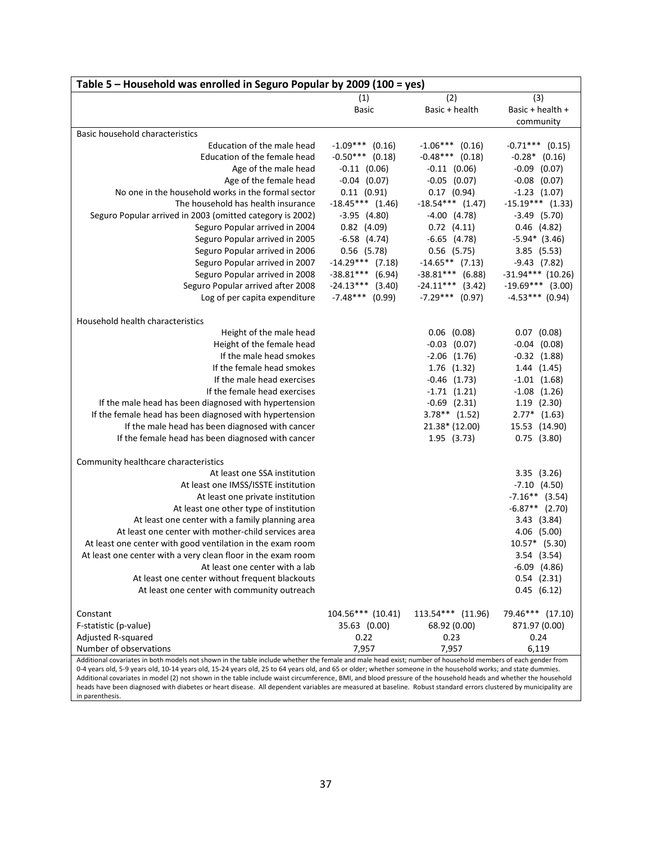| Table 5 - Household was enrolled in Seguro Popular by 2009 (100 = yes)                                                                                          |                    |                    |                     |  |  |
|-----------------------------------------------------------------------------------------------------------------------------------------------------------------|--------------------|--------------------|---------------------|--|--|
|                                                                                                                                                                 | (1)                | (2)                | (3)                 |  |  |
|                                                                                                                                                                 | Basic              | Basic + health     | Basic + health +    |  |  |
|                                                                                                                                                                 |                    |                    | community           |  |  |
| Basic household characteristics                                                                                                                                 |                    |                    |                     |  |  |
| Education of the male head                                                                                                                                      | $-1.09***$ (0.16)  | $-1.06***$ (0.16)  | $-0.71***$ (0.15)   |  |  |
| Education of the female head                                                                                                                                    | $-0.50***$ (0.18)  | $-0.48***$ (0.18)  | $-0.28*$ (0.16)     |  |  |
| Age of the male head                                                                                                                                            | $-0.11$ $(0.06)$   | $-0.11$ $(0.06)$   | $-0.09$ $(0.07)$    |  |  |
| Age of the female head                                                                                                                                          | $-0.04$ $(0.07)$   | $-0.05$ $(0.07)$   | $-0.08$ $(0.07)$    |  |  |
| No one in the household works in the formal sector                                                                                                              | $0.11$ $(0.91)$    | $0.17$ $(0.94)$    | $-1.23$ $(1.07)$    |  |  |
| The household has health insurance                                                                                                                              | $-18.45***$ (1.46) | $-18.54***$ (1.47) | $-15.19***$ (1.33)  |  |  |
| Seguro Popular arrived in 2003 (omitted category is 2002)                                                                                                       | $-3.95$ (4.80)     | $-4.00$ $(4.78)$   | $-3.49$ (5.70)      |  |  |
| Seguro Popular arrived in 2004                                                                                                                                  | $0.82$ (4.09)      | $0.72$ $(4.11)$    | $0.46$ (4.82)       |  |  |
| Seguro Popular arrived in 2005                                                                                                                                  | $-6.58$ $(4.74)$   | $-6.65(4.78)$      | $-5.94*$ (3.46)     |  |  |
| Seguro Popular arrived in 2006                                                                                                                                  | $0.56$ (5.78)      | $0.56$ (5.75)      | $3.85$ (5.53)       |  |  |
| Seguro Popular arrived in 2007                                                                                                                                  | $-14.29***$ (7.18) | $-14.65**$ (7.13)  | $-9.43(7.82)$       |  |  |
| Seguro Popular arrived in 2008                                                                                                                                  | $-38.81***$ (6.94) | $-38.81***$ (6.88) | $-31.94***$ (10.26) |  |  |
| Seguro Popular arrived after 2008                                                                                                                               | $-24.13***$ (3.40) | $-24.11***$ (3.42) | $-19.69***$ (3.00)  |  |  |
| Log of per capita expenditure                                                                                                                                   | $-7.48***$ (0.99)  | $-7.29***$ (0.97)  | $-4.53***$ (0.94)   |  |  |
| Household health characteristics                                                                                                                                |                    |                    |                     |  |  |
| Height of the male head                                                                                                                                         |                    | $0.06$ $(0.08)$    | $0.07$ $(0.08)$     |  |  |
| Height of the female head                                                                                                                                       |                    | $-0.03$ $(0.07)$   | $-0.04$ $(0.08)$    |  |  |
| If the male head smokes                                                                                                                                         |                    | $-2.06$ $(1.76)$   | $-0.32$ $(1.88)$    |  |  |
| If the female head smokes                                                                                                                                       |                    | 1.76 (1.32)        | 1.44(1.45)          |  |  |
| If the male head exercises                                                                                                                                      |                    | $-0.46$ $(1.73)$   | $-1.01$ $(1.68)$    |  |  |
| If the female head exercises                                                                                                                                    |                    | $-1.71(1.21)$      | $-1.08$ $(1.26)$    |  |  |
| If the male head has been diagnosed with hypertension                                                                                                           |                    | $-0.69$ $(2.31)$   | $1.19$ $(2.30)$     |  |  |
| If the female head has been diagnosed with hypertension                                                                                                         |                    | $3.78**$ (1.52)    | $2.77*$ (1.63)      |  |  |
| If the male head has been diagnosed with cancer                                                                                                                 |                    | 21.38* (12.00)     | 15.53 (14.90)       |  |  |
| If the female head has been diagnosed with cancer                                                                                                               |                    | 1.95 (3.73)        | $0.75$ $(3.80)$     |  |  |
| Community healthcare characteristics                                                                                                                            |                    |                    |                     |  |  |
| At least one SSA institution                                                                                                                                    |                    |                    | $3.35$ $(3.26)$     |  |  |
| At least one IMSS/ISSTE institution                                                                                                                             |                    |                    | $-7.10(4.50)$       |  |  |
| At least one private institution                                                                                                                                |                    |                    | $-7.16**$ (3.54)    |  |  |
| At least one other type of institution                                                                                                                          |                    |                    | $-6.87**$ (2.70)    |  |  |
| At least one center with a family planning area                                                                                                                 |                    |                    | 3.43(3.84)          |  |  |
| At least one center with mother-child services area                                                                                                             |                    |                    | 4.06 (5.00)         |  |  |
| At least one center with good ventilation in the exam room                                                                                                      |                    |                    | 10.57* (5.30)       |  |  |
| At least one center with a very clean floor in the exam room                                                                                                    |                    |                    | 3.54 (3.54)         |  |  |
| At least one center with a lab                                                                                                                                  |                    |                    | $-6.09$ $(4.86)$    |  |  |
| At least one center without frequent blackouts                                                                                                                  |                    |                    | $0.54$ $(2.31)$     |  |  |
| At least one center with community outreach                                                                                                                     |                    |                    | $0.45$ (6.12)       |  |  |
| Constant                                                                                                                                                        | 104.56*** (10.41)  | 113.54*** (11.96)  | 79.46*** (17.10)    |  |  |
| F-statistic (p-value)                                                                                                                                           | 35.63 (0.00)       | 68.92 (0.00)       | 871.97 (0.00)       |  |  |
| Adjusted R-squared                                                                                                                                              | 0.22               | 0.23               | 0.24                |  |  |
| Number of observations                                                                                                                                          | 7,957              | 7,957              | 6,119               |  |  |
| Additional covariates in both models not shown in the table include whether the female and male head exist; number of household members of each gender from     |                    |                    |                     |  |  |
| 0-4 years old, 5-9 years old, 10-14 years old, 15-24 years old, 25 to 64 years old, and 65 or older; whether someone in the household works; and state dummies. |                    |                    |                     |  |  |

Additional covariates in model (2) not shown in the table include waist circumference, BMI, and blood pressure of the household heads and whether the household heads have been diagnosed with diabetes or heart disease. All dependent variables are measured at baseline. Robust standard errors clustered by municipality are in parenthesis.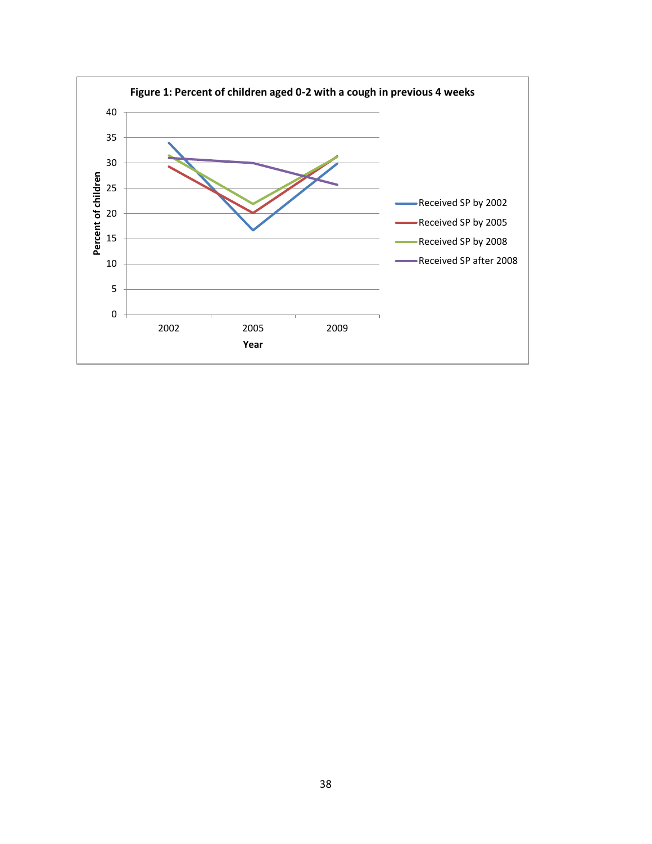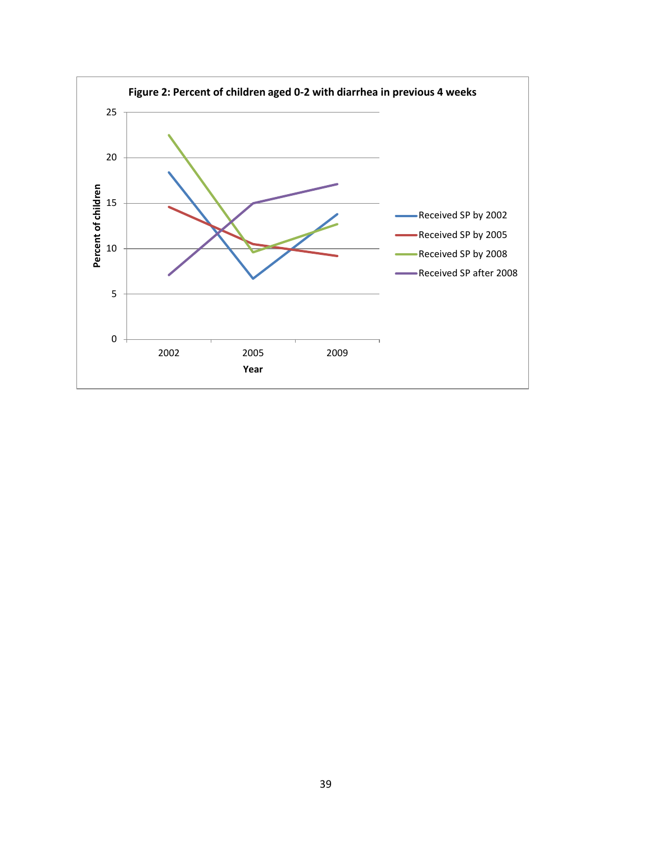